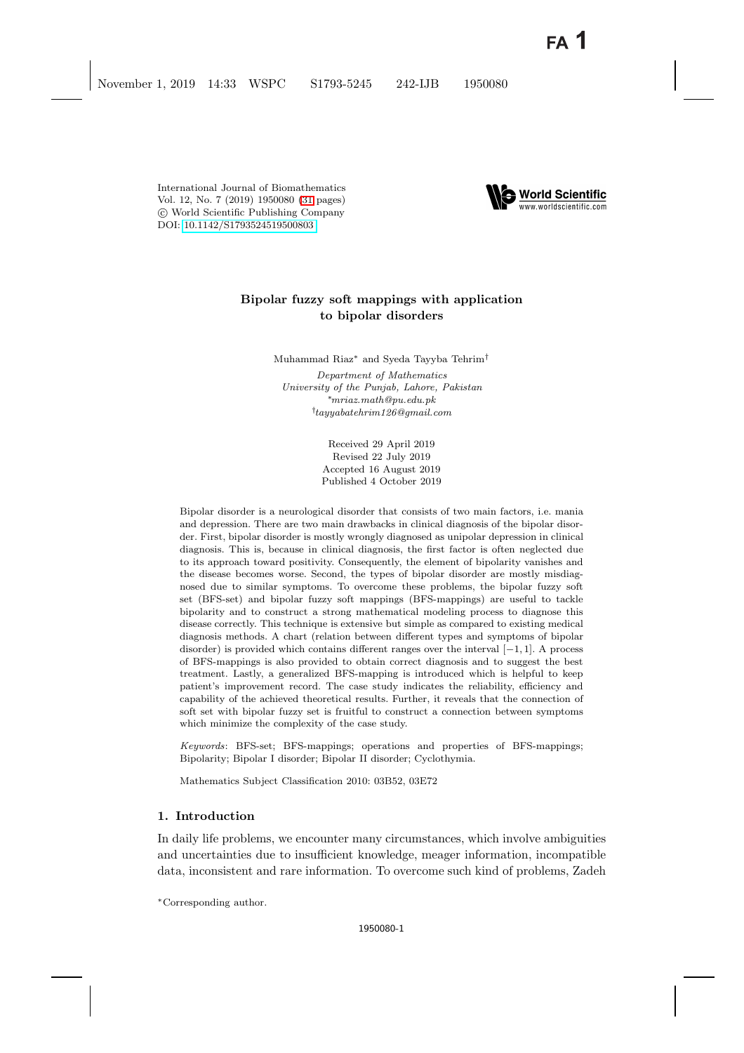International Journal of Biomathematics Vol. 12, No. 7 (2019) 1950080 [\(31](#page-28-0) pages) c World Scientific Publishing Company DOI: [10.1142/S1793524519500803](http://dx.doi.org/10.1142/S1793524519500803)



# **Bipolar fuzzy soft mappings with application to bipolar disorders**

Muhammad Riaz∗ and Syeda Tayyba Tehrim†

*Department of Mathematics University of the Punjab, Lahore, Pakistan* ∗*mriaz.math@pu.edu.pk* † *tayyabatehrim126@gmail.com*

> Received 29 April 2019 Revised 22 July 2019 Accepted 16 August 2019 Published 4 October 2019

Bipolar disorder is a neurological disorder that consists of two main factors, i.e. mania and depression. There are two main drawbacks in clinical diagnosis of the bipolar disorder. First, bipolar disorder is mostly wrongly diagnosed as unipolar depression in clinical diagnosis. This is, because in clinical diagnosis, the first factor is often neglected due to its approach toward positivity. Consequently, the element of bipolarity vanishes and the disease becomes worse. Second, the types of bipolar disorder are mostly misdiagnosed due to similar symptoms. To overcome these problems, the bipolar fuzzy soft set (BFS-set) and bipolar fuzzy soft mappings (BFS-mappings) are useful to tackle bipolarity and to construct a strong mathematical modeling process to diagnose this disease correctly. This technique is extensive but simple as compared to existing medical diagnosis methods. A chart (relation between different types and symptoms of bipolar disorder) is provided which contains different ranges over the interval  $[-1, 1]$ . A process of BFS-mappings is also provided to obtain correct diagnosis and to suggest the best treatment. Lastly, a generalized BFS-mapping is introduced which is helpful to keep patient's improvement record. The case study indicates the reliability, efficiency and capability of the achieved theoretical results. Further, it reveals that the connection of soft set with bipolar fuzzy set is fruitful to construct a connection between symptoms which minimize the complexity of the case study.

*Keywords*: BFS-set; BFS-mappings; operations and properties of BFS-mappings; Bipolarity; Bipolar I disorder; Bipolar II disorder; Cyclothymia.

Mathematics Subject Classification 2010: 03B52, 03E72

### **1. Introduction**

In daily life problems, we encounter many circumstances, which involve ambiguities and uncertainties due to insufficient knowledge, meager information, incompatible data, inconsistent and rare information. To overcome such kind of problems, Zadeh

∗Corresponding author.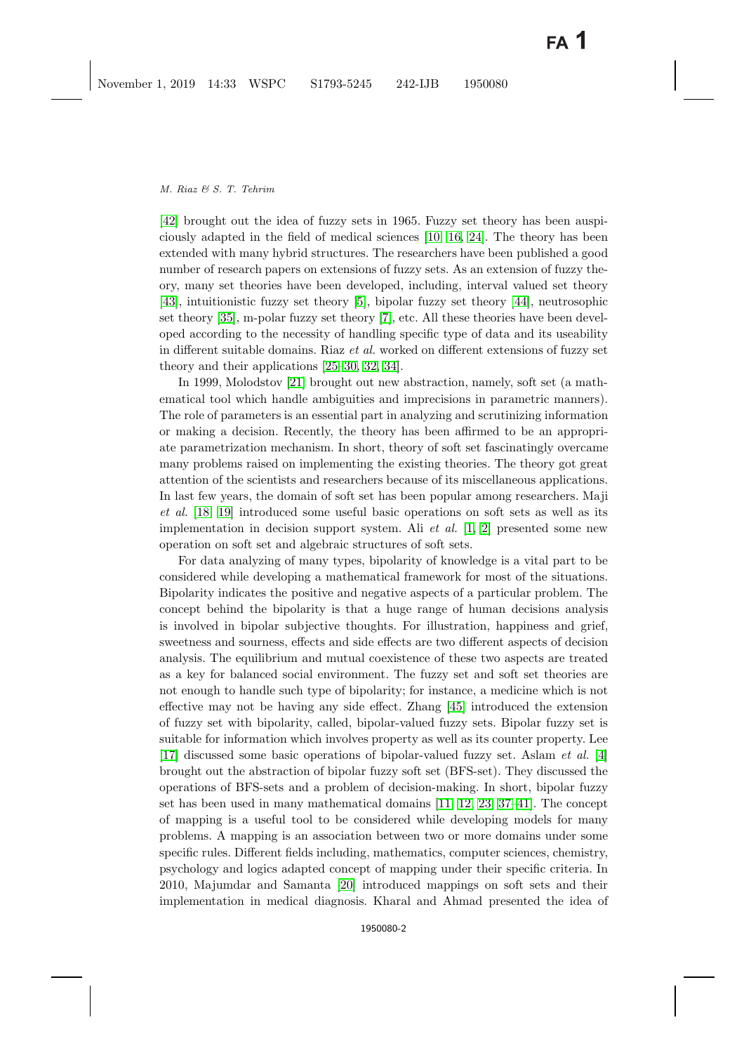[\[42\]](#page-30-0) brought out the idea of fuzzy sets in 1965. Fuzzy set theory has been auspiciously adapted in the field of medical sciences [\[10,](#page-29-0) [16,](#page-29-1) [24\]](#page-29-2). The theory has been extended with many hybrid structures. The researchers have been published a good number of research papers on extensions of fuzzy sets. As an extension of fuzzy theory, many set theories have been developed, including, interval valued set theory [\[43\]](#page-30-1), intuitionistic fuzzy set theory [\[5\]](#page-29-3), bipolar fuzzy set theory [\[44\]](#page-30-2), neutrosophic set theory [\[35\]](#page-30-3), m-polar fuzzy set theory [\[7\]](#page-29-4), etc. All these theories have been developed according to the necessity of handling specific type of data and its useability in different suitable domains. Riaz *et al.* worked on different extensions of fuzzy set theory and their applications [\[25–](#page-29-5)[30,](#page-30-4) [32,](#page-30-5) [34\]](#page-30-6).

In 1999, Molodstov [\[21\]](#page-29-6) brought out new abstraction, namely, soft set (a mathematical tool which handle ambiguities and imprecisions in parametric manners). The role of parameters is an essential part in analyzing and scrutinizing information or making a decision. Recently, the theory has been affirmed to be an appropriate parametrization mechanism. In short, theory of soft set fascinatingly overcame many problems raised on implementing the existing theories. The theory got great attention of the scientists and researchers because of its miscellaneous applications. In last few years, the domain of soft set has been popular among researchers. Maji *et al.* [\[18,](#page-29-7) [19\]](#page-29-8) introduced some useful basic operations on soft sets as well as its implementation in decision support system. Ali *et al.* [\[1,](#page-28-1) [2\]](#page-28-2) presented some new operation on soft set and algebraic structures of soft sets.

For data analyzing of many types, bipolarity of knowledge is a vital part to be considered while developing a mathematical framework for most of the situations. Bipolarity indicates the positive and negative aspects of a particular problem. The concept behind the bipolarity is that a huge range of human decisions analysis is involved in bipolar subjective thoughts. For illustration, happiness and grief, sweetness and sourness, effects and side effects are two different aspects of decision analysis. The equilibrium and mutual coexistence of these two aspects are treated as a key for balanced social environment. The fuzzy set and soft set theories are not enough to handle such type of bipolarity; for instance, a medicine which is not effective may not be having any side effect. Zhang [\[45\]](#page-30-7) introduced the extension of fuzzy set with bipolarity, called, bipolar-valued fuzzy sets. Bipolar fuzzy set is suitable for information which involves property as well as its counter property. Lee [\[17\]](#page-29-9) discussed some basic operations of bipolar-valued fuzzy set. Aslam *et al.* [\[4\]](#page-29-10) brought out the abstraction of bipolar fuzzy soft set (BFS-set). They discussed the operations of BFS-sets and a problem of decision-making. In short, bipolar fuzzy set has been used in many mathematical domains [\[11,](#page-29-11) [12,](#page-29-12) [23,](#page-29-13) [37–](#page-30-8)[41\]](#page-30-9). The concept of mapping is a useful tool to be considered while developing models for many problems. A mapping is an association between two or more domains under some specific rules. Different fields including, mathematics, computer sciences, chemistry, psychology and logics adapted concept of mapping under their specific criteria. In 2010, Majumdar and Samanta [\[20\]](#page-29-14) introduced mappings on soft sets and their implementation in medical diagnosis. Kharal and Ahmad presented the idea of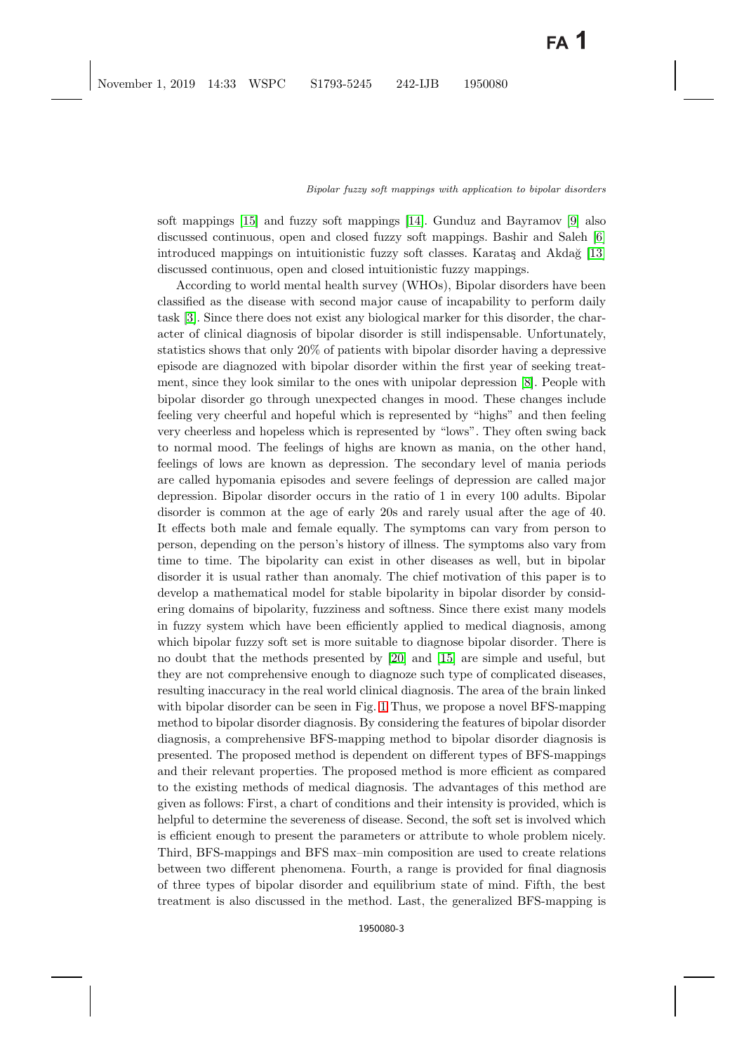soft mappings [\[15\]](#page-29-15) and fuzzy soft mappings [\[14\]](#page-29-16). Gunduz and Bayramov [\[9\]](#page-29-17) also discussed continuous, open and closed fuzzy soft mappings. Bashir and Saleh [\[6\]](#page-29-18) introduced mappings on intuitionistic fuzzy soft classes. Karataş and Akdağ [\[13\]](#page-29-19) discussed continuous, open and closed intuitionistic fuzzy mappings.

According to world mental health survey (WHOs), Bipolar disorders have been classified as the disease with second major cause of incapability to perform daily task [\[3\]](#page-29-20). Since there does not exist any biological marker for this disorder, the character of clinical diagnosis of bipolar disorder is still indispensable. Unfortunately, statistics shows that only 20% of patients with bipolar disorder having a depressive episode are diagnozed with bipolar disorder within the first year of seeking treatment, since they look similar to the ones with unipolar depression [\[8\]](#page-29-21). People with bipolar disorder go through unexpected changes in mood. These changes include feeling very cheerful and hopeful which is represented by "highs" and then feeling very cheerless and hopeless which is represented by "lows". They often swing back to normal mood. The feelings of highs are known as mania, on the other hand, feelings of lows are known as depression. The secondary level of mania periods are called hypomania episodes and severe feelings of depression are called major depression. Bipolar disorder occurs in the ratio of 1 in every 100 adults. Bipolar disorder is common at the age of early 20s and rarely usual after the age of 40. It effects both male and female equally. The symptoms can vary from person to person, depending on the person's history of illness. The symptoms also vary from time to time. The bipolarity can exist in other diseases as well, but in bipolar disorder it is usual rather than anomaly. The chief motivation of this paper is to develop a mathematical model for stable bipolarity in bipolar disorder by considering domains of bipolarity, fuzziness and softness. Since there exist many models in fuzzy system which have been efficiently applied to medical diagnosis, among which bipolar fuzzy soft set is more suitable to diagnose bipolar disorder. There is no doubt that the methods presented by [\[20\]](#page-29-14) and [\[15\]](#page-29-15) are simple and useful, but they are not comprehensive enough to diagnoze such type of complicated diseases, resulting inaccuracy in the real world clinical diagnosis. The area of the brain linked with bipolar disorder can be seen in Fig. [1](#page-3-0) Thus, we propose a novel BFS-mapping method to bipolar disorder diagnosis. By considering the features of bipolar disorder diagnosis, a comprehensive BFS-mapping method to bipolar disorder diagnosis is presented. The proposed method is dependent on different types of BFS-mappings and their relevant properties. The proposed method is more efficient as compared to the existing methods of medical diagnosis. The advantages of this method are given as follows: First, a chart of conditions and their intensity is provided, which is helpful to determine the severeness of disease. Second, the soft set is involved which is efficient enough to present the parameters or attribute to whole problem nicely. Third, BFS-mappings and BFS max–min composition are used to create relations between two different phenomena. Fourth, a range is provided for final diagnosis of three types of bipolar disorder and equilibrium state of mind. Fifth, the best treatment is also discussed in the method. Last, the generalized BFS-mapping is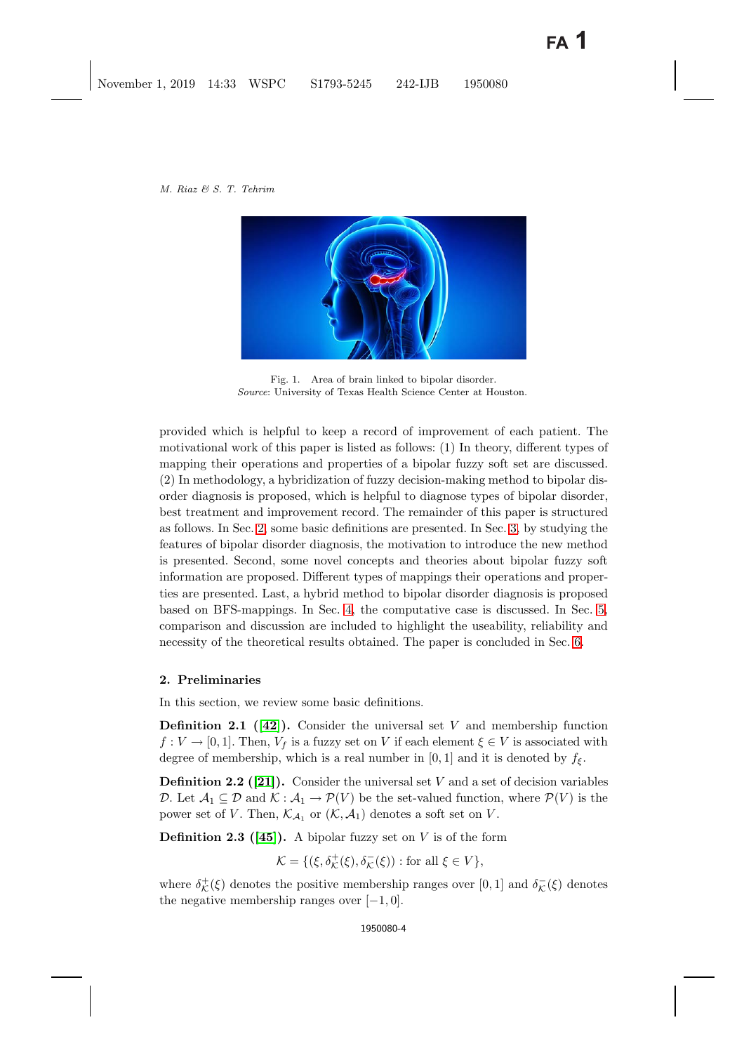

Fig. 1. Area of brain linked to bipolar disorder. *Source*: University of Texas Health Science Center at Houston.

<span id="page-3-0"></span>provided which is helpful to keep a record of improvement of each patient. The motivational work of this paper is listed as follows: (1) In theory, different types of mapping their operations and properties of a bipolar fuzzy soft set are discussed. (2) In methodology, a hybridization of fuzzy decision-making method to bipolar disorder diagnosis is proposed, which is helpful to diagnose types of bipolar disorder, best treatment and improvement record. The remainder of this paper is structured as follows. In Sec. [2,](#page-3-1) some basic definitions are presented. In Sec. [3,](#page-5-0) by studying the features of bipolar disorder diagnosis, the motivation to introduce the new method is presented. Second, some novel concepts and theories about bipolar fuzzy soft information are proposed. Different types of mappings their operations and properties are presented. Last, a hybrid method to bipolar disorder diagnosis is proposed based on BFS-mappings. In Sec. [4,](#page-22-0) the computative case is discussed. In Sec. [5,](#page-27-0) comparison and discussion are included to highlight the useability, reliability and necessity of the theoretical results obtained. The paper is concluded in Sec. [6.](#page-28-3)

## <span id="page-3-1"></span>**2. Preliminaries**

In this section, we review some basic definitions.

**Definition 2.1 ([\[42\]](#page-30-0)).** Consider the universal set V and membership function  $f: V \to [0, 1]$ . Then,  $V_f$  is a fuzzy set on V if each element  $\xi \in V$  is associated with degree of membership, which is a real number in [0, 1] and it is denoted by  $f_{\xi}$ .

**Definition 2.2 ([\[21\]](#page-29-6)).** Consider the universal set V and a set of decision variables D. Let  $\mathcal{A}_1 \subseteq \mathcal{D}$  and  $\mathcal{K} : \mathcal{A}_1 \to \mathcal{P}(V)$  be the set-valued function, where  $\mathcal{P}(V)$  is the power set of V. Then,  $\mathcal{K}_{\mathcal{A}_1}$  or  $(\mathcal{K}, \mathcal{A}_1)$  denotes a soft set on V.

**Definition 2.3 ([\[45\]](#page-30-7)).** A bipolar fuzzy set on V is of the form

$$
\mathcal{K}=\{(\xi,\delta_\mathcal{K}^+(\xi),\delta_\mathcal{K}^-(\xi)):\text{for all }\xi\in V\},
$$

where  $\delta_{\mathcal{K}}^{+}(\xi)$  denotes the positive membership ranges over [0, 1] and  $\delta_{\mathcal{K}}^{-}(\xi)$  denotes the negative membership ranges over  $[-1, 0]$ .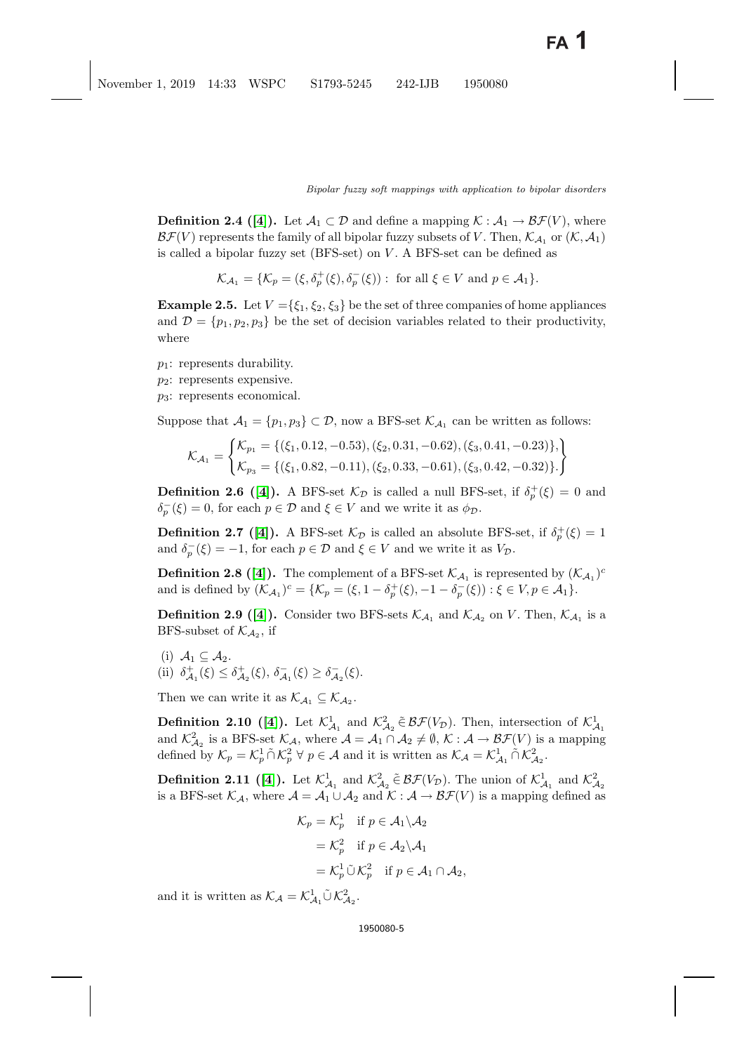**Definition 2.4 ([\[4\]](#page-29-10)).** Let  $\mathcal{A}_1 \subset \mathcal{D}$  and define a mapping  $\mathcal{K} : \mathcal{A}_1 \to \mathcal{BF}(V)$ , where  $\mathcal{BF}(V)$  represents the family of all bipolar fuzzy subsets of V. Then,  $\mathcal{K}_{\mathcal{A}_1}$  or  $(\mathcal{K}, \mathcal{A}_1)$ is called a bipolar fuzzy set  $(BFS-set)$  on  $V$ . A BFS-set can be defined as

 $\mathcal{K}_{\mathcal{A}_1} = \{ \mathcal{K}_p = (\xi, \delta_p^+(\xi), \delta_p^-(\xi)) : \text{ for all } \xi \in V \text{ and } p \in \mathcal{A}_1 \}.$ 

**Example 2.5.** Let  $V = {\xi_1, \xi_2, \xi_3}$  be the set of three companies of home appliances and  $\mathcal{D} = \{p_1, p_2, p_3\}$  be the set of decision variables related to their productivity, where

 $p_1$ : represents durability.

 $p_2$ : represents expensive.

 $p_3$ : represents economical.

Suppose that  $A_1 = \{p_1, p_3\} \subset \mathcal{D}$ , now a BFS-set  $\mathcal{K}_{A_1}$  can be written as follows:

$$
\mathcal{K}_{\mathcal{A}_1} = \begin{cases} \mathcal{K}_{p_1} = \{(\xi_1, 0.12, -0.53), (\xi_2, 0.31, -0.62), (\xi_3, 0.41, -0.23)\}, \\ \mathcal{K}_{p_3} = \{(\xi_1, 0.82, -0.11), (\xi_2, 0.33, -0.61), (\xi_3, 0.42, -0.32)\}. \end{cases}
$$

**Definition 2.6** ([\[4\]](#page-29-10)). A BFS-set  $\mathcal{K}_{\mathcal{D}}$  is called a null BFS-set, if  $\delta_p^+(\xi) = 0$  and  $\delta_p^-(\xi) = 0$ , for each  $p \in \mathcal{D}$  and  $\xi \in V$  and we write it as  $\phi_{\mathcal{D}}$ .

**Definition 2.7 ([\[4\]](#page-29-10)).** A BFS-set  $\mathcal{K}_{\mathcal{D}}$  is called an absolute BFS-set, if  $\delta_p^+(\xi)=1$ and  $\delta_p^-(\xi) = -1$ , for each  $p \in \mathcal{D}$  and  $\xi \in V$  and we write it as  $V_{\mathcal{D}}$ .

**Definition 2.8** ([\[4\]](#page-29-10)). The complement of a BFS-set  $\mathcal{K}_{A_1}$  is represented by  $(\mathcal{K}_{A_1})^c$ and is defined by  $(\mathcal{K}_{\mathcal{A}_1})^c = {\mathcal{K}_p = (\xi, 1 - \delta_p^+(\xi), -1 - \delta_p^-(\xi)) : \xi \in V, p \in \mathcal{A}_1}.$ 

**Definition 2.9 ([\[4\]](#page-29-10)).** Consider two BFS-sets  $\mathcal{K}_{\mathcal{A}_1}$  and  $\mathcal{K}_{\mathcal{A}_2}$  on V. Then,  $\mathcal{K}_{\mathcal{A}_1}$  is a BFS-subset of  $\mathcal{K}_{A_2}$ , if

(i)  $A_1 \subseteq A_2$ . (ii)  $\delta_{\mathcal{A}_1}^+(\xi) \leq \delta_{\mathcal{A}_2}^+(\xi)$ ,  $\delta_{\mathcal{A}_1}^-(\xi) \geq \delta_{\mathcal{A}_2}^-(\xi)$ .

Then we can write it as  $\mathcal{K}_{\mathcal{A}_1} \subseteq \mathcal{K}_{\mathcal{A}_2}$ .

**Definition 2.10 ([\[4\]](#page-29-10)).** Let  $\mathcal{K}_{\mathcal{A}_1}^1$  and  $\mathcal{K}_{\mathcal{A}_2}^2 \in \mathcal{BF}(V_{\mathcal{D}})$ . Then, intersection of  $\mathcal{K}_{\mathcal{A}_1}^1$ and  $\mathcal{K}^2_{\mathcal{A}_2}$  is a BFS-set  $\mathcal{K}_{\mathcal{A}}$ , where  $\mathcal{A} = \mathcal{A}_1 \cap \mathcal{A}_2 \neq \emptyset$ ,  $\mathcal{K} : \mathcal{A} \to \mathcal{BF}(V)$  is a mapping defined by  $\mathcal{K}_p = \mathcal{K}_p^1 \cap \mathcal{K}_p^2 \ \forall \ p \in \mathcal{A}$  and it is written as  $\mathcal{K}_\mathcal{A} = \mathcal{K}_{\mathcal{A}_1}^1 \cap \mathcal{K}_{\mathcal{A}_2}^2$ .

**Definition 2.11 ([\[4\]](#page-29-10)).** Let  $\mathcal{K}_{\mathcal{A}_1}^1$  and  $\mathcal{K}_{\mathcal{A}_2}^2 \in \mathcal{BF}(V_{\mathcal{D}})$ . The union of  $\mathcal{K}_{\mathcal{A}_1}^1$  and  $\mathcal{K}_{\mathcal{A}_2}^2$ is a BFS-set  $\mathcal{K}_{\mathcal{A}}$ , where  $\mathcal{A} = \mathcal{A}_1 \cup \mathcal{A}_2$  and  $\mathcal{K} : \mathcal{A} \to \mathcal{BF}(V)$  is a mapping defined as

$$
\mathcal{K}_p = \mathcal{K}_p^1 \quad \text{if } p \in \mathcal{A}_1 \setminus \mathcal{A}_2
$$

$$
= \mathcal{K}_p^2 \quad \text{if } p \in \mathcal{A}_2 \setminus \mathcal{A}_1
$$

$$
= \mathcal{K}_p^1 \tilde{\cup} \mathcal{K}_p^2 \quad \text{if } p \in \mathcal{A}_1 \cap \mathcal{A}_2,
$$

and it is written as  $\mathcal{K}_{\mathcal{A}} = \mathcal{K}_{\mathcal{A}_1}^1 \tilde{\cup} \mathcal{K}_{\mathcal{A}_2}^2$ .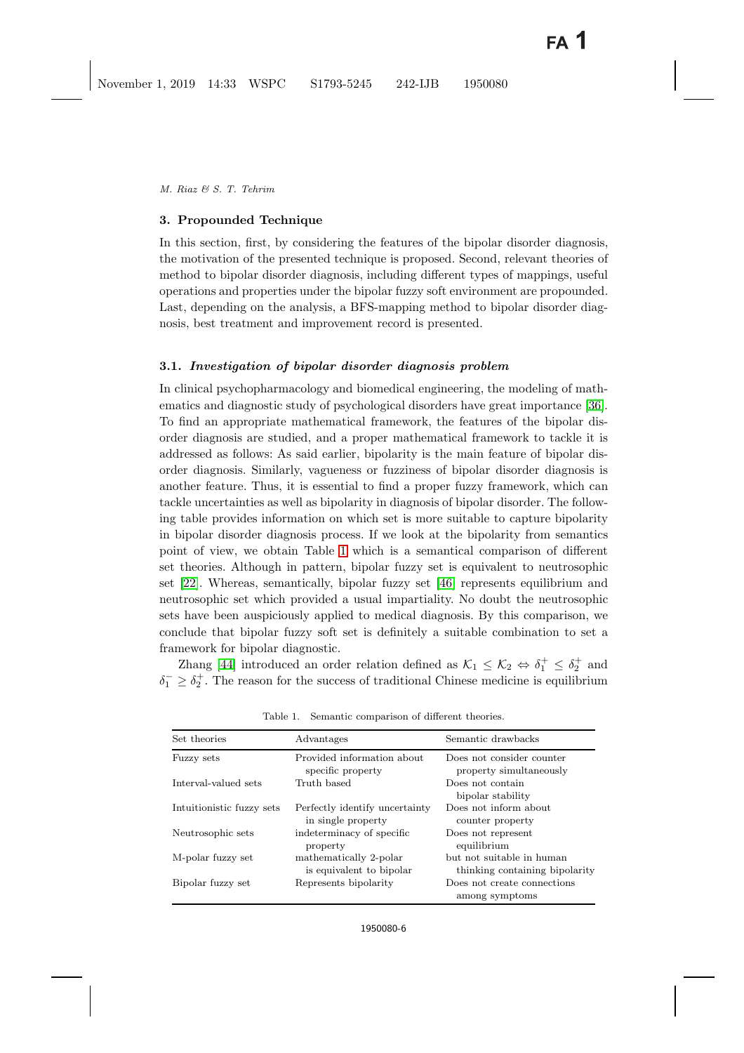## <span id="page-5-0"></span>**3. Propounded Technique**

In this section, first, by considering the features of the bipolar disorder diagnosis, the motivation of the presented technique is proposed. Second, relevant theories of method to bipolar disorder diagnosis, including different types of mappings, useful operations and properties under the bipolar fuzzy soft environment are propounded. Last, depending on the analysis, a BFS-mapping method to bipolar disorder diagnosis, best treatment and improvement record is presented.

## **3.1.** *Investigation of bipolar disorder diagnosis problem*

In clinical psychopharmacology and biomedical engineering, the modeling of mathematics and diagnostic study of psychological disorders have great importance [\[36\]](#page-30-10). To find an appropriate mathematical framework, the features of the bipolar disorder diagnosis are studied, and a proper mathematical framework to tackle it is addressed as follows: As said earlier, bipolarity is the main feature of bipolar disorder diagnosis. Similarly, vagueness or fuzziness of bipolar disorder diagnosis is another feature. Thus, it is essential to find a proper fuzzy framework, which can tackle uncertainties as well as bipolarity in diagnosis of bipolar disorder. The following table provides information on which set is more suitable to capture bipolarity in bipolar disorder diagnosis process. If we look at the bipolarity from semantics point of view, we obtain Table [1](#page-5-1) which is a semantical comparison of different set theories. Although in pattern, bipolar fuzzy set is equivalent to neutrosophic set [\[22\]](#page-29-22). Whereas, semantically, bipolar fuzzy set [\[46\]](#page-30-11) represents equilibrium and neutrosophic set which provided a usual impartiality. No doubt the neutrosophic sets have been auspiciously applied to medical diagnosis. By this comparison, we conclude that bipolar fuzzy soft set is definitely a suitable combination to set a framework for bipolar diagnostic.

Zhang [\[44\]](#page-30-2) introduced an order relation defined as  $\mathcal{K}_1 \leq \mathcal{K}_2 \Leftrightarrow \delta_1^+ \leq \delta_2^+$  and  $\delta_1^- \geq \delta_2^+$ . The reason for the success of traditional Chinese medicine is equilibrium

| Set theories              | Advantages                                           | Semantic drawbacks                                          |
|---------------------------|------------------------------------------------------|-------------------------------------------------------------|
| Fuzzy sets                | Provided information about<br>specific property      | Does not consider counter<br>property simultaneously        |
| Interval-valued sets      | Truth based                                          | Does not contain<br>bipolar stability                       |
| Intuitionistic fuzzy sets | Perfectly identify uncertainty<br>in single property | Does not inform about<br>counter property                   |
| Neutrosophic sets         | indeterminacy of specific<br>property                | Does not represent<br>equilibrium                           |
| M-polar fuzzy set         | mathematically 2-polar<br>is equivalent to bipolar   | but not suitable in human<br>thinking containing bipolarity |
| Bipolar fuzzy set         | Represents bipolarity                                | Does not create connections<br>among symptoms               |

<span id="page-5-1"></span>Table 1. Semantic comparison of different theories.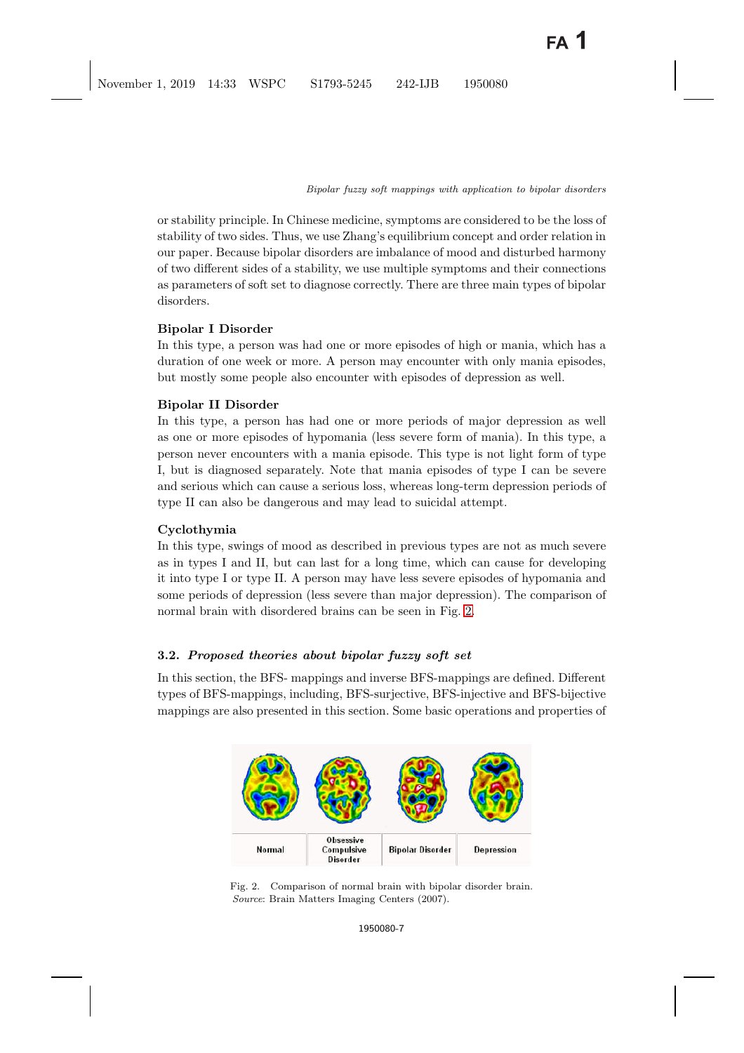or stability principle. In Chinese medicine, symptoms are considered to be the loss of stability of two sides. Thus, we use Zhang's equilibrium concept and order relation in our paper. Because bipolar disorders are imbalance of mood and disturbed harmony of two different sides of a stability, we use multiple symptoms and their connections as parameters of soft set to diagnose correctly. There are three main types of bipolar disorders.

# **Bipolar I Disorder**

In this type, a person was had one or more episodes of high or mania, which has a duration of one week or more. A person may encounter with only mania episodes, but mostly some people also encounter with episodes of depression as well.

# **Bipolar II Disorder**

In this type, a person has had one or more periods of major depression as well as one or more episodes of hypomania (less severe form of mania). In this type, a person never encounters with a mania episode. This type is not light form of type I, but is diagnosed separately. Note that mania episodes of type I can be severe and serious which can cause a serious loss, whereas long-term depression periods of type II can also be dangerous and may lead to suicidal attempt.

# **Cyclothymia**

In this type, swings of mood as described in previous types are not as much severe as in types I and II, but can last for a long time, which can cause for developing it into type I or type II. A person may have less severe episodes of hypomania and some periods of depression (less severe than major depression). The comparison of normal brain with disordered brains can be seen in Fig. [2.](#page-6-0)

# **3.2.** *Proposed theories about bipolar fuzzy soft set*

In this section, the BFS- mappings and inverse BFS-mappings are defined. Different types of BFS-mappings, including, BFS-surjective, BFS-injective and BFS-bijective mappings are also presented in this section. Some basic operations and properties of

<span id="page-6-0"></span>

Fig. 2. Comparison of normal brain with bipolar disorder brain. *Source*: Brain Matters Imaging Centers (2007).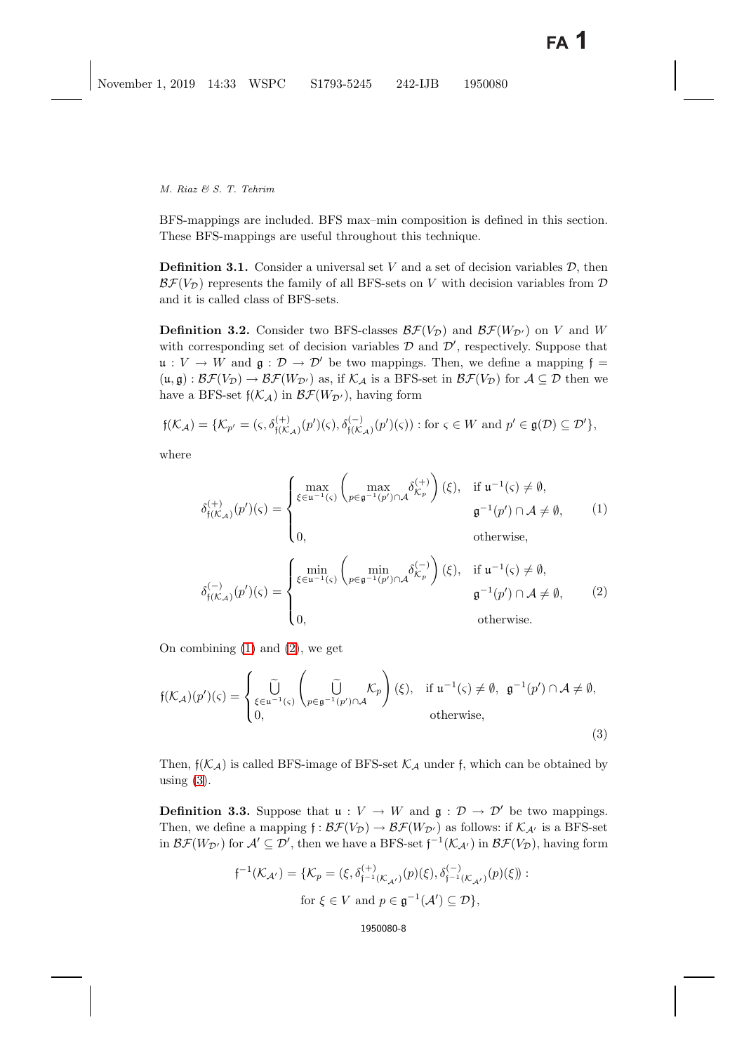BFS-mappings are included. BFS max–min composition is defined in this section. These BFS-mappings are useful throughout this technique.

**Definition 3.1.** Consider a universal set V and a set of decision variables  $\mathcal{D}$ , then  $\mathcal{BF}(V_{\mathcal{D}})$  represents the family of all BFS-sets on V with decision variables from  $\mathcal D$ and it is called class of BFS-sets.

**Definition 3.2.** Consider two BFS-classes  $\mathcal{BF}(V_{\mathcal{D}})$  and  $\mathcal{BF}(W_{\mathcal{D}'})$  on V and W with corresponding set of decision variables  $D$  and  $D'$ , respectively. Suppose that  $\mathfrak{u}: V \to W$  and  $\mathfrak{g}: \mathcal{D} \to \mathcal{D}'$  be two mappings. Then, we define a mapping  $\mathfrak{f} =$  $(u, \mathfrak{g}) : \mathcal{BF}(V_{\mathcal{D}}) \to \mathcal{BF}(W_{\mathcal{D}'})$  as, if  $\mathcal{K}_{\mathcal{A}}$  is a BFS-set in  $\mathcal{BF}(V_{\mathcal{D}})$  for  $\mathcal{A} \subseteq \mathcal{D}$  then we have a BFS-set  $f(\mathcal{K}_A)$  in  $\mathcal{BF}(W_{\mathcal{D}'})$ , having form

$$
\mathfrak{f}(\mathcal{K}_{\mathcal{A}}) = \{ \mathcal{K}_{p'} = (\varsigma, \delta_{\mathfrak{f}(\mathcal{K}_{\mathcal{A}})}^{(+)}(p')(\varsigma), \delta_{\mathfrak{f}(\mathcal{K}_{\mathcal{A}})}^{(-)}(p')(\varsigma)) : \text{for } \varsigma \in W \text{ and } p' \in \mathfrak{g}(\mathcal{D}) \subseteq \mathcal{D}' \},
$$

<span id="page-7-0"></span>where

$$
\delta_{\mathfrak{f}(\mathcal{K}_{\mathcal{A}})}^{(+)}(p')(\varsigma) = \begin{cases} \max_{\xi \in \mathfrak{u}^{-1}(\varsigma)} \left( \max_{p \in \mathfrak{g}^{-1}(p') \cap \mathcal{A}} \delta_{\mathcal{K}_p}^{(+)} \right)(\xi), & \text{if } \mathfrak{u}^{-1}(\varsigma) \neq \emptyset, \\ 0, & \mathfrak{g}^{-1}(p') \cap \mathcal{A} \neq \emptyset, \end{cases} \tag{1}
$$

$$
\delta_{\mathfrak{f}(\mathcal{K}_{\mathcal{A}})}^{(-)}(p')(\varsigma) = \begin{cases} \min_{\xi \in \mathfrak{u}^{-1}(\varsigma)} \left( \min_{p \in \mathfrak{g}^{-1}(p') \cap \mathcal{A}} \delta_{\mathcal{K}_p}^{(-)} \right)(\xi), & \text{if } \mathfrak{u}^{-1}(\varsigma) \neq \emptyset, \\ 0, & \mathfrak{g}^{-1}(p') \cap \mathcal{A} \neq \emptyset, \end{cases} \tag{2}
$$

On combining [\(1\)](#page-7-0) and [\(2\)](#page-7-0), we get

<span id="page-7-1"></span>
$$
\mathfrak{f}(\mathcal{K}_{\mathcal{A}})(p')(\varsigma) = \begin{cases} \widetilde{\bigcup}_{\xi \in \mathfrak{u}^{-1}(\varsigma)} \left( \widetilde{\bigcup}_{p \in \mathfrak{g}^{-1}(p') \cap \mathcal{A}} \mathcal{K}_p \right) (\xi), & \text{if } \mathfrak{u}^{-1}(\varsigma) \neq \emptyset, \mathfrak{g}^{-1}(p') \cap \mathcal{A} \neq \emptyset, \\ 0, & \text{otherwise,} \end{cases}
$$
\n(3)

Then,  $f(\mathcal{K}_A)$  is called BFS-image of BFS-set  $\mathcal{K}_A$  under f, which can be obtained by using  $(3)$ .

**Definition 3.3.** Suppose that  $\mathfrak{u}: V \to W$  and  $\mathfrak{g}: \mathcal{D} \to \mathcal{D}'$  be two mappings. Then, we define a mapping  $f : \mathcal{BF}(V_{\mathcal{D}}) \to \mathcal{BF}(W_{\mathcal{D}'})$  as follows: if  $\mathcal{K}_{\mathcal{A}'}$  is a BFS-set in  $\mathcal{BF}(W_{\mathcal{D}'})$  for  $\mathcal{A}' \subseteq \mathcal{D}'$ , then we have a BFS-set  $f^{-1}(\mathcal{K}_{\mathcal{A}'})$  in  $\mathcal{BF}(V_{\mathcal{D}})$ , having form

$$
\mathfrak{f}^{-1}(\mathcal{K}_{\mathcal{A}'}) = \{ \mathcal{K}_p = (\xi, \delta_{\mathfrak{f}^{-1}(\mathcal{K}_{\mathcal{A}'})}^{(+)}(p)(\xi), \delta_{\mathfrak{f}^{-1}(\mathcal{K}_{\mathcal{A}'})}^{(-)}(p)(\xi) \} :
$$
  
for  $\xi \in V$  and  $p \in \mathfrak{g}^{-1}(\mathcal{A}') \subseteq \mathcal{D} \},$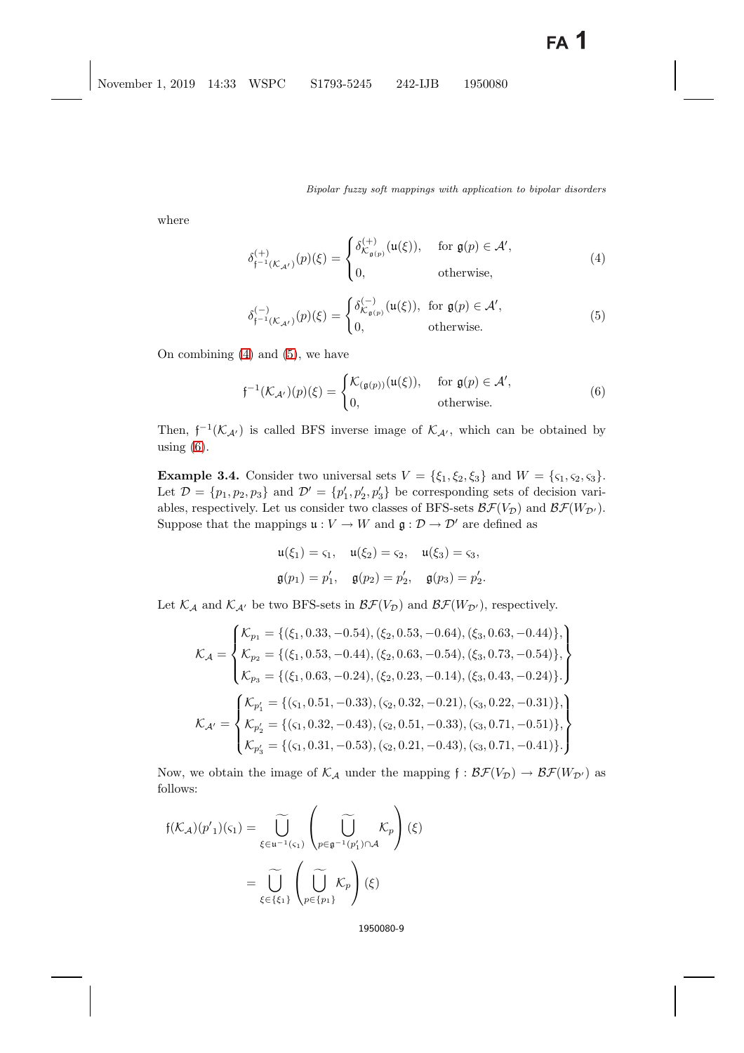<span id="page-8-0"></span>where

$$
\delta_{\mathfrak{f}^{-1}(\mathcal{K}_{\mathcal{A}'})}^{(+)}(p)(\xi) = \begin{cases} \delta_{\mathcal{K}_{\mathfrak{g}(p)}}^{(+)}(\mathfrak{u}(\xi)), & \text{for } \mathfrak{g}(p) \in \mathcal{A}',\\ 0, & \text{otherwise}, \end{cases}
$$
(4)

$$
\delta_{\mathfrak{f}^{-1}(\mathcal{K}_{\mathcal{A}'})}^{(-)}(p)(\xi) = \begin{cases} \delta_{\mathcal{K}_{\mathfrak{g}(p)}}^{(-)}(\mathfrak{u}(\xi)), & \text{for } \mathfrak{g}(p) \in \mathcal{A}',\\ 0, & \text{otherwise.} \end{cases}
$$
(5)

<span id="page-8-1"></span>On combining [\(4\)](#page-8-0) and [\(5\)](#page-8-0), we have

$$
\mathfrak{f}^{-1}(\mathcal{K}_{\mathcal{A}'})(p)(\xi) = \begin{cases} \mathcal{K}_{(\mathfrak{g}(p))}(\mathfrak{u}(\xi)), & \text{for } \mathfrak{g}(p) \in \mathcal{A}',\\ 0, & \text{otherwise.} \end{cases}
$$
(6)

Then,  $f^{-1}(\mathcal{K}_{\mathcal{A'}})$  is called BFS inverse image of  $\mathcal{K}_{\mathcal{A'}}$ , which can be obtained by using (6) using  $(6)$ .

**Example 3.4.** Consider two universal sets  $V = \{\xi_1, \xi_2, \xi_3\}$  and  $W = \{\zeta_1, \zeta_2, \zeta_3\}.$ Let  $\mathcal{D} = \{p_1, p_2, p_3\}$  and  $\mathcal{D}' = \{p'_1, p'_2, p'_3\}$  be corresponding sets of decision variables, respectively. Let us consider two classes of BFS-sets  $\mathcal{BF}(V_{\mathcal{D}})$  and  $\mathcal{BF}(W_{\mathcal{D}}')$ . Suppose that the mappings  $u : V \to W$  and  $g : D \to D'$  are defined as

$$
u(\xi_1) = \varsigma_1, \quad u(\xi_2) = \varsigma_2, \quad u(\xi_3) = \varsigma_3, \mathfrak{g}(p_1) = p'_1, \quad \mathfrak{g}(p_2) = p'_2, \quad \mathfrak{g}(p_3) = p'_2.
$$

Let  $\mathcal{K}_{\mathcal{A}}$  and  $\mathcal{K}_{\mathcal{A}'}$  be two BFS-sets in  $\mathcal{BF}(V_{\mathcal{D}})$  and  $\mathcal{BF}(W_{\mathcal{D}'})$ , respectively.

$$
\mathcal{K}_{\mathcal{A}} = \begin{cases}\n\mathcal{K}_{p_1} = \{(\xi_1, 0.33, -0.54), (\xi_2, 0.53, -0.64), (\xi_3, 0.63, -0.44)\}, \\
\mathcal{K}_{p_2} = \{(\xi_1, 0.53, -0.44), (\xi_2, 0.63, -0.54), (\xi_3, 0.73, -0.54)\}, \\
\mathcal{K}_{p_3} = \{(\xi_1, 0.63, -0.24), (\xi_2, 0.23, -0.14), (\xi_3, 0.43, -0.24)\}.\n\end{cases}
$$
\n
$$
\mathcal{K}_{\mathcal{A}'} = \begin{cases}\n\mathcal{K}_{p'_1} = \{(\zeta_1, 0.51, -0.33), (\zeta_2, 0.32, -0.21), (\zeta_3, 0.22, -0.31)\}, \\
\mathcal{K}_{\mathcal{A}'} = \begin{cases}\n\mathcal{K}_{p'_2} = \{(\zeta_1, 0.32, -0.43), (\zeta_2, 0.51, -0.33), (\zeta_3, 0.71, -0.51)\}, \\
\mathcal{K}_{p'_3} = \{(\zeta_1, 0.31, -0.53), (\zeta_2, 0.21, -0.43), (\zeta_3, 0.71, -0.41)\}.\n\end{cases}
$$

Now, we obtain the image of  $\mathcal{K}_{\mathcal{A}}$  under the mapping  $f : \mathcal{BF}(V_{\mathcal{D}}) \to \mathcal{BF}(W_{\mathcal{D}'})$  as follows:

$$
f(\mathcal{K}_{\mathcal{A}})(p'_{1})(\varsigma_{1}) = \widetilde{\bigcup_{\xi \in u^{-1}(\varsigma_{1})}} \left(\widetilde{\bigcup_{p \in \mathfrak{g}^{-1}(p'_{1}) \cap \mathcal{A}}} \mathcal{K}_{p}\right)(\xi)
$$

$$
= \widetilde{\bigcup_{\xi \in \{\xi_{1}\}} \left(\widetilde{\bigcup_{p \in \{p_{1}\}} \mathcal{K}_{p}}\right)(\xi)
$$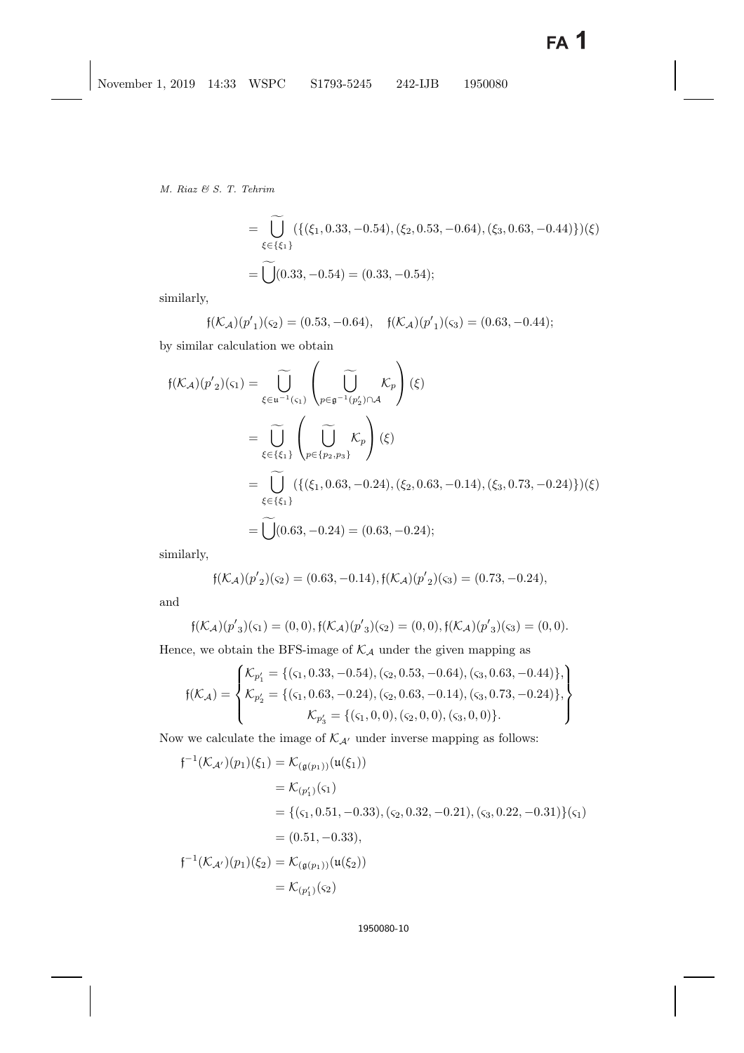*M. Riaz & S. T. Tehrim*

$$
= \widetilde{\bigcup}_{\xi \in \{\xi_1\}} (\{(\xi_1, 0.33, -0.54), (\xi_2, 0.53, -0.64), (\xi_3, 0.63, -0.44)\}) (\xi)
$$
  
=  $\widetilde{\bigcup} (0.33, -0.54) = (0.33, -0.54);$ 

similarly,

$$
\mathfrak{f}(\mathcal{K}_{\mathcal{A}})(p'_{1})(\mathfrak{c}_{2}) = (0.53, -0.64), \quad \mathfrak{f}(\mathcal{K}_{\mathcal{A}})(p'_{1})(\mathfrak{c}_{3}) = (0.63, -0.44);
$$

by similar calculation we obtain

$$
f(\mathcal{K}_{\mathcal{A}})(p'_{2})(\varsigma_{1}) = \widetilde{\bigcup_{\xi \in u^{-1}(\varsigma_{1})}} \left( \widetilde{\bigcup_{p \in \mathfrak{g}^{-1}(p'_{2}) \cap \mathcal{A}}} \mathcal{K}_{p} \right) (\xi)
$$
  
\n
$$
= \widetilde{\bigcup_{\xi \in \{\xi_{1}\}}} \left( \widetilde{\bigcup_{p \in \{p_{2}, p_{3}\}}} \mathcal{K}_{p} \right) (\xi)
$$
  
\n
$$
= \widetilde{\bigcup_{\xi \in \{\xi_{1}\}}} \left( \{ (\xi_{1}, 0.63, -0.24), (\xi_{2}, 0.63, -0.14), (\xi_{3}, 0.73, -0.24) \} \right) (\xi)
$$
  
\n
$$
= \widetilde{\bigcup_{\xi \in \{\xi_{1}\}}} (0.63, -0.24) = (0.63, -0.24);
$$

similarly,

$$
\mathfrak{f}(\mathcal{K}_{\mathcal{A}})(p'_{2})(\varsigma_{2}) = (0.63, -0.14), \mathfrak{f}(\mathcal{K}_{\mathcal{A}})(p'_{2})(\varsigma_{3}) = (0.73, -0.24),
$$

and

$$
\mathfrak{f}(\mathcal{K}_{\mathcal{A}})(p'_{3})(\varsigma_{1}) = (0,0), \mathfrak{f}(\mathcal{K}_{\mathcal{A}})(p'_{3})(\varsigma_{2}) = (0,0), \mathfrak{f}(\mathcal{K}_{\mathcal{A}})(p'_{3})(\varsigma_{3}) = (0,0).
$$

Hence, we obtain the BFS-image of  $\mathcal{K}_\mathcal{A}$  under the given mapping as

$$
\mathfrak{f}(\mathcal{K}_{\mathcal{A}}) = \begin{cases} \mathcal{K}_{p'_1} = \{(\varsigma_1, 0.33, -0.54), (\varsigma_2, 0.53, -0.64), (\varsigma_3, 0.63, -0.44)\}, \\ \mathcal{K}_{p'_2} = \{(\varsigma_1, 0.63, -0.24), (\varsigma_2, 0.63, -0.14), (\varsigma_3, 0.73, -0.24)\}, \\ \mathcal{K}_{p'_3} = \{(\varsigma_1, 0, 0), (\varsigma_2, 0, 0), (\varsigma_3, 0, 0)\}. \end{cases}
$$

Now we calculate the image of  $\mathcal{K}_{\mathcal{A}'}$  under inverse mapping as follows:

$$
f^{-1}(\mathcal{K}_{\mathcal{A}'})(p_1)(\xi_1) = \mathcal{K}_{(\mathfrak{g}(p_1))}(u(\xi_1))
$$
  
\n
$$
= \mathcal{K}_{(p'_1)}(\varsigma_1)
$$
  
\n
$$
= \{(\varsigma_1, 0.51, -0.33), (\varsigma_2, 0.32, -0.21), (\varsigma_3, 0.22, -0.31)\}(\varsigma_1)
$$
  
\n
$$
= (0.51, -0.33),
$$
  
\n
$$
f^{-1}(\mathcal{K}_{\mathcal{A}'})(p_1)(\xi_2) = \mathcal{K}_{(\mathfrak{g}(p_1))}(u(\xi_2))
$$
  
\n
$$
= \mathcal{K}_{(p'_1)}(\varsigma_2)
$$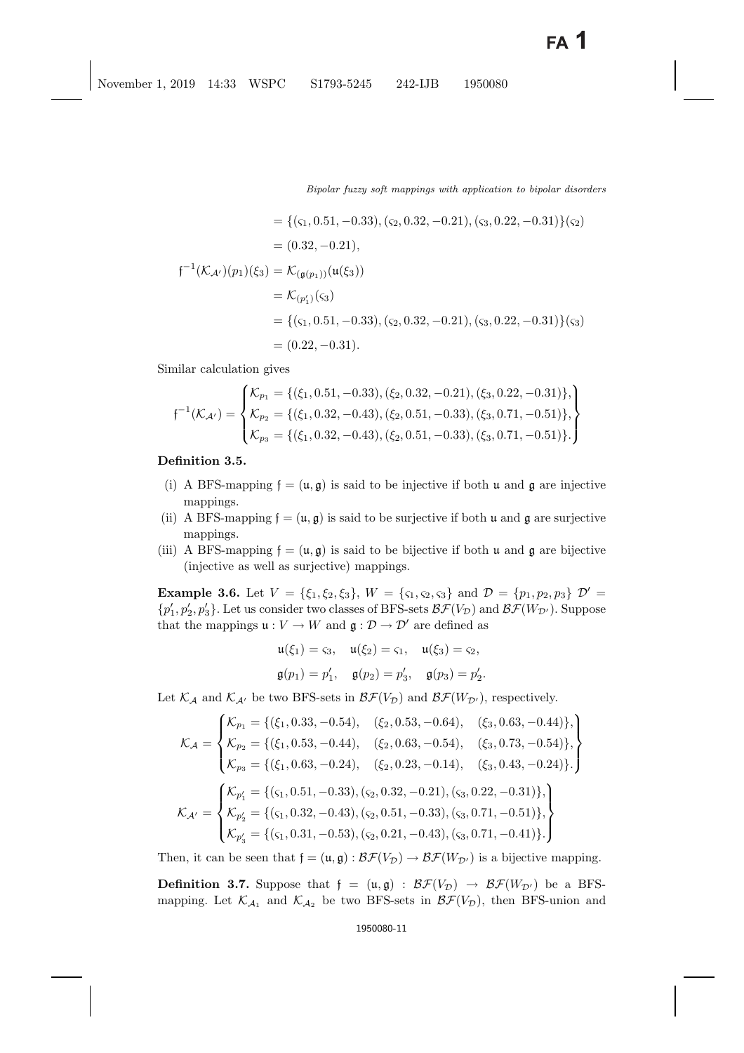$$
= \{(\varsigma_1, 0.51, -0.33), (\varsigma_2, 0.32, -0.21), (\varsigma_3, 0.22, -0.31)\}(\varsigma_2)
$$
  

$$
= (0.32, -0.21),
$$
  

$$
\mathfrak{f}^{-1}(\mathcal{K}_{\mathcal{A}'})(p_1)(\xi_3) = \mathcal{K}_{(\mathfrak{g}(p_1))}(\mathfrak{u}(\xi_3))
$$
  

$$
= \mathcal{K}_{(p'_1)}(\varsigma_3)
$$
  

$$
= \{(\varsigma_1, 0.51, -0.33), (\varsigma_2, 0.32, -0.21), (\varsigma_3, 0.22, -0.31)\}(\varsigma_3)
$$
  

$$
= (0.22, -0.31).
$$

Similar calculation gives

$$
\mathfrak{f}^{-1}(\mathcal{K}_{\mathcal{A}'}) = \begin{cases} \mathcal{K}_{p_1} = \{(\xi_1, 0.51, -0.33), (\xi_2, 0.32, -0.21), (\xi_3, 0.22, -0.31)\}, \\ \mathcal{K}_{p_2} = \{(\xi_1, 0.32, -0.43), (\xi_2, 0.51, -0.33), (\xi_3, 0.71, -0.51)\}, \\ \mathcal{K}_{p_3} = \{(\xi_1, 0.32, -0.43), (\xi_2, 0.51, -0.33), (\xi_3, 0.71, -0.51)\}.\end{cases}
$$

**Definition 3.5.**

- (i) A BFS-mapping  $f = (u, g)$  is said to be injective if both u and g are injective mappings.
- (ii) A BFS-mapping  $f = (u, g)$  is said to be surjective if both u and g are surjective mappings.
- (iii) A BFS-mapping  $f = (\mathfrak{u}, \mathfrak{g})$  is said to be bijective if both u and g are bijective (injective as well as surjective) mappings.

**Example 3.6.** Let  $V = \{\xi_1, \xi_2, \xi_3\}$ ,  $W = \{\xi_1, \xi_2, \xi_3\}$  and  $\mathcal{D} = \{p_1, p_2, p_3\}$   $\mathcal{D}' =$  $\{p'_1, p'_2, p'_3\}$ . Let us consider two classes of BFS-sets  $\mathcal{BF}(V_{\mathcal{D}})$  and  $\mathcal{BF}(W_{\mathcal{D}'})$ . Suppose that the mappings  $\mathfrak{u}: V \to W$  and  $\mathfrak{g}: \mathcal{D} \to \mathcal{D}'$  are defined as

$$
\mathfrak{u}(\xi_1) = \varsigma_3, \quad \mathfrak{u}(\xi_2) = \varsigma_1, \quad \mathfrak{u}(\xi_3) = \varsigma_2,
$$
  
\n $\mathfrak{g}(p_1) = p'_1, \quad \mathfrak{g}(p_2) = p'_3, \quad \mathfrak{g}(p_3) = p'_2.$ 

Let  $\mathcal{K}_{\mathcal{A}}$  and  $\mathcal{K}_{\mathcal{A}'}$  be two BFS-sets in  $\mathcal{BF}(V_{\mathcal{D}})$  and  $\mathcal{BF}(W_{\mathcal{D}'})$ , respectively.

$$
\mathcal{K}_{\mathcal{A}} = \begin{cases}\n\mathcal{K}_{p_1} = \{(\xi_1, 0.33, -0.54), & (\xi_2, 0.53, -0.64), & (\xi_3, 0.63, -0.44)\}, \\
\mathcal{K}_{p_2} = \{(\xi_1, 0.53, -0.44), & (\xi_2, 0.63, -0.54), & (\xi_3, 0.73, -0.54)\}, \\
\mathcal{K}_{p_3} = \{(\xi_1, 0.63, -0.24), & (\xi_2, 0.23, -0.14), & (\xi_3, 0.43, -0.24)\}.\n\end{cases}
$$
\n
$$
\mathcal{K}_{\mathcal{A}'} = \begin{cases}\n\mathcal{K}_{p'_1} = \{(\varsigma_1, 0.51, -0.33), (\varsigma_2, 0.32, -0.21), (\varsigma_3, 0.22, -0.31)\}, \\
\mathcal{K}_{p'_2} = \{(\varsigma_1, 0.32, -0.43), (\varsigma_2, 0.51, -0.33), (\varsigma_3, 0.71, -0.51)\}, \\
\mathcal{K}_{p'_3} = \{(\varsigma_1, 0.31, -0.53), (\varsigma_2, 0.21, -0.43), (\varsigma_3, 0.71, -0.41)\}.\n\end{cases}
$$

Then, it can be seen that  $f = (\mathfrak{u}, \mathfrak{g}) : \mathcal{BF}(V_{\mathcal{D}}) \to \mathcal{BF}(W_{\mathcal{D}'})$  is a bijective mapping.

**Definition 3.7.** Suppose that  $f = (u, g) : \mathcal{BF}(V_{\mathcal{D}}) \rightarrow \mathcal{BF}(W_{\mathcal{D}'})$  be a BFSmapping. Let  $\mathcal{K}_{\mathcal{A}_1}$  and  $\mathcal{K}_{\mathcal{A}_2}$  be two BFS-sets in  $\mathcal{BF}(V_{\mathcal{D}})$ , then BFS-union and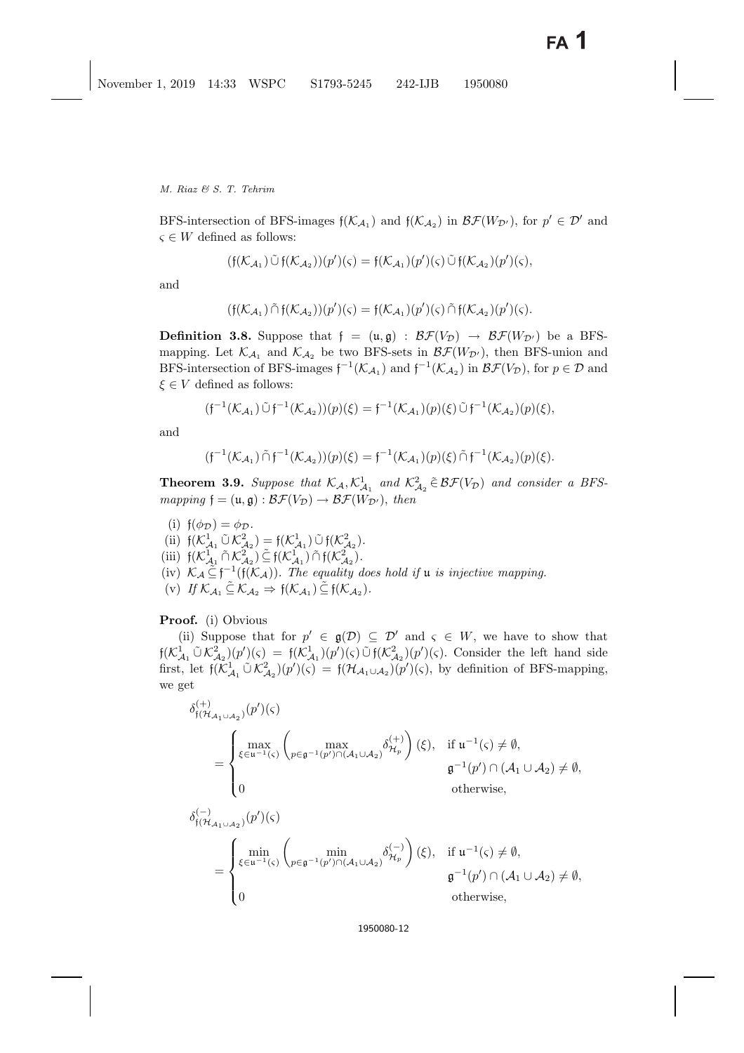BFS-intersection of BFS-images  $f(\mathcal{K}_{\mathcal{A}_1})$  and  $f(\mathcal{K}_{\mathcal{A}_2})$  in  $\mathcal{BF}(W_{\mathcal{D}'})$ , for  $p' \in \mathcal{D}'$  and  $\varsigma \in W$  defined as follows:

$$
(\mathfrak{f}(\mathcal{K}_{\mathcal{A}_1}) \tilde{\cup} \mathfrak{f}(\mathcal{K}_{\mathcal{A}_2}))(p')(\varsigma) = \mathfrak{f}(\mathcal{K}_{\mathcal{A}_1})(p')(\varsigma) \tilde{\cup} \mathfrak{f}(\mathcal{K}_{\mathcal{A}_2})(p')(\varsigma),
$$

and

$$
(\mathfrak{f}(\mathcal{K}_{\mathcal{A}_1}) \tilde{\cap} \mathfrak{f}(\mathcal{K}_{\mathcal{A}_2}))(p')(\varsigma) = \mathfrak{f}(\mathcal{K}_{\mathcal{A}_1})(p')(\varsigma) \tilde{\cap} \mathfrak{f}(\mathcal{K}_{\mathcal{A}_2})(p')(\varsigma).
$$

**Definition 3.8.** Suppose that  $f = (u, g) : \mathcal{BF}(V_{\mathcal{D}}) \rightarrow \mathcal{BF}(W_{\mathcal{D}'})$  be a BFSmapping. Let  $\mathcal{K}_{\mathcal{A}_1}$  and  $\mathcal{K}_{\mathcal{A}_2}$  be two BFS-sets in  $\mathcal{BF}(W_{\mathcal{D}'})$ , then BFS-union and BFS-intersection of BFS-images  $f^{-1}(\mathcal{K}_{\mathcal{A}_1})$  and  $f^{-1}(\mathcal{K}_{\mathcal{A}_2})$  in  $\mathcal{BF}(V_{\mathcal{D}})$ , for  $p \in \mathcal{D}$  and  $f \in V$  defined as follows:  $\xi \in V$  defined as follows:

$$
(\mathfrak{f}^{-1}(\mathcal{K}_{\mathcal{A}_1}) \tilde{\cup} \mathfrak{f}^{-1}(\mathcal{K}_{\mathcal{A}_2}))(p)(\xi) = \mathfrak{f}^{-1}(\mathcal{K}_{\mathcal{A}_1})(p)(\xi) \tilde{\cup} \mathfrak{f}^{-1}(\mathcal{K}_{\mathcal{A}_2})(p)(\xi),
$$

and

$$
(\mathfrak{f}^{-1}(\mathcal{K}_{\mathcal{A}_1}) \cap \mathfrak{f}^{-1}(\mathcal{K}_{\mathcal{A}_2}))(p)(\xi) = \mathfrak{f}^{-1}(\mathcal{K}_{\mathcal{A}_1})(p)(\xi) \cap \mathfrak{f}^{-1}(\mathcal{K}_{\mathcal{A}_2})(p)(\xi).
$$

**Theorem 3.9.** Suppose that  $\mathcal{K}_{\mathcal{A}}$ ,  $\mathcal{K}_{\mathcal{A}_1}^1$  and  $\mathcal{K}_{\mathcal{A}_2}^2 \in \mathcal{BF}(V_{\mathcal{D}})$  and consider a BFS*mapping*  $\mathfrak{f} = (\mathfrak{u}, \mathfrak{g}) : \mathcal{BF}(V_{\mathcal{D}}) \to \mathcal{BF}(W_{\mathcal{D}'})$ , then

(i)  $f(\phi_{\mathcal{D}}) = \phi_{\mathcal{D}}$ .<br>(ii)  $f(K^1 \cap K^2)$ (ii)  $f(\mathcal{K}_{\mathcal{A}_1}^1 \tilde{\cup} \mathcal{K}_{\mathcal{A}_2}^2) = f(\mathcal{K}_{\mathcal{A}_1}^1) \tilde{\cup} f(\mathcal{K}_{\mathcal{A}_2}^2)$ .<br>
(iii)  $f(\mathcal{K}_{1}^1 \tilde{\cap} \mathcal{K}_{2}^2) \tilde{\subset} f(\mathcal{K}_{1}^1 \tilde{\cap} \tilde{\cup} f(\mathcal{K}_{2}^2))$ (iii)  $f(\mathcal{K}_{\mathcal{A}_1}^1 \cap \mathcal{K}_{\mathcal{A}_2}^2) \subseteq f(\mathcal{K}_{\mathcal{A}_1}^1) \cap f(\mathcal{K}_{\mathcal{A}_2}^2)$ .<br>(iv)  $\mathcal{K} \in \widetilde{f}^{-1}(\mathfrak{c}(\mathcal{K}_1))$ . The equality of (iv)  $\mathcal{K}_{\mathcal{A}} \widetilde{\subseteq} \mathfrak{f}^{-1}(\mathfrak{f}(\mathcal{K}_{\mathcal{A}}))$ *. The equality does hold if* u *is injective mapping.*<br>(v) If  $\mathcal{K}_{\mathcal{A}} \widetilde{\subset} \mathcal{K}_{\mathcal{A}} \to \mathfrak{f}(\mathcal{K}_{\mathcal{A}}) \widetilde{\subset} \mathfrak{f}(\mathcal{K}_{\mathcal{A}})$ (v) If  $\mathcal{K}_{A_1} \subseteq \mathcal{K}_{A_2} \Rightarrow f(\mathcal{K}_{A_1}) \subseteq f(\mathcal{K}_{A_2})$ .

### **Proof.** (i) Obvious

(ii) Suppose that for  $p' \in \mathfrak{g}(\mathcal{D}) \subseteq \mathcal{D}'$  and  $\varsigma \in W$ , we have to show that  $f(\mathcal{K}_{\mathcal{A}_1}^1 \tilde{\cup} \mathcal{K}_{\mathcal{A}_2}^2)(p')(\varsigma) = f(\mathcal{K}_{\mathcal{A}_1}^1)(p')(\varsigma) \tilde{\cup} f(\mathcal{K}_{\mathcal{A}_2}^2)(p')(\varsigma)$ . Consider the left hand side<br>first, lot  $f(\mathcal{K}^1 \tilde{\cup} \mathcal{K}^2)(p')(\varsigma) = f(\mathcal{H}, \ldots)(p')(\varsigma)$  by definition of BES manni first, let  $\mathfrak{f}(\mathcal{K}_{\mathcal{A}_1}^1 \tilde{\cup} \mathcal{K}_{\mathcal{A}_2}^2)(p')(\varsigma) = \mathfrak{f}(\mathcal{H}_{\mathcal{A}_1 \cup \mathcal{A}_2})(p')(\varsigma)$ , by definition of BFS-mapping, we get

$$
\delta_{f(\mathcal{H}_{\mathcal{A}_1\cup\mathcal{A}_2})}^{(+)}(p')(\varsigma)
$$
\n
$$
= \begin{cases}\n\max_{\xi\in\mathfrak{u}^{-1}(\varsigma)}\left(\max_{p\in\mathfrak{g}^{-1}(p')\cap(\mathcal{A}_1\cup\mathcal{A}_2)}\delta_{\mathcal{H}_p}^{(+)}\right)(\xi), & \text{if } \mathfrak{u}^{-1}(\varsigma)\neq\emptyset, \\
0 & \text{otherwise,} \\
\delta_{f(\mathcal{H}_{\mathcal{A}_1\cup\mathcal{A}_2})}^{(-)}(p')(\varsigma)\n\end{cases}
$$
\n
$$
\delta_{f(\mathcal{H}_{\mathcal{A}_1\cup\mathcal{A}_2})}^{(-)}(p')(\varsigma)
$$
\n
$$
= \begin{cases}\n\min_{\xi\in\mathfrak{u}^{-1}(\varsigma)}\left(\min_{p\in\mathfrak{g}^{-1}(p')\cap(\mathcal{A}_1\cup\mathcal{A}_2)}\delta_{\mathcal{H}_p}^{(-)}\right)(\xi), & \text{if } \mathfrak{u}^{-1}(\varsigma)\neq\emptyset, \\
\mathfrak{g}^{-1}(p')\cap(\mathcal{A}_1\cup\mathcal{A}_2)\neq\emptyset, \\
0 & \text{otherwise,}\n\end{cases}
$$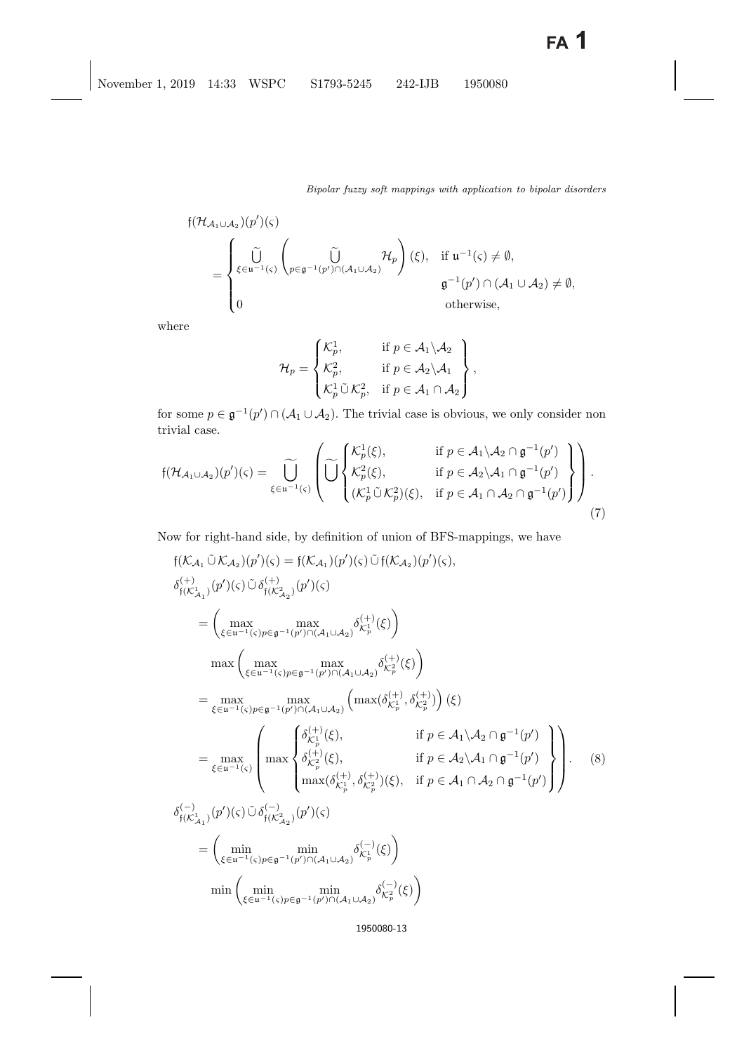$$
\begin{aligned}\n\mathfrak{f}(\mathcal{H}_{\mathcal{A}_1\cup\mathcal{A}_2})(p')(\varsigma) \\
&= \begin{cases}\n\tilde{\bigcup}_{\xi\in\mathfrak{u}^{-1}(\varsigma)}\left(\bigcup_{p\in\mathfrak{g}^{-1}(p')\cap(\mathcal{A}_1\cup\mathcal{A}_2)}\mathcal{H}_p\right)(\xi), & \text{if } \mathfrak{u}^{-1}(\varsigma)\neq\emptyset, \\
\mathfrak{g}^{-1}(p')\cap(\mathcal{A}_1\cup\mathcal{A}_2)\neq\emptyset, \\
0 & \text{otherwise,} \n\end{cases}\n\end{aligned}
$$

where

$$
\mathcal{H}_p = \begin{Bmatrix} \mathcal{K}_p^1, & \text{if } p \in \mathcal{A}_1 \backslash \mathcal{A}_2 \\ \mathcal{K}_p^2, & \text{if } p \in \mathcal{A}_2 \backslash \mathcal{A}_1 \\ \mathcal{K}_p^1 \tilde{\cup} \mathcal{K}_p^2, & \text{if } p \in \mathcal{A}_1 \cap \mathcal{A}_2 \end{Bmatrix},
$$

for some  $p \in \mathfrak{g}^{-1}(p') \cap (\mathcal{A}_1 \cup \mathcal{A}_2)$ . The trivial case is obvious, we only consider non<br>trivial case trivial case.

<span id="page-12-1"></span>
$$
\mathfrak{f}(\mathcal{H}_{\mathcal{A}_1 \cup \mathcal{A}_2})(p')(\varsigma) = \widetilde{\bigcup}_{\xi \in \mathfrak{u}^{-1}(\varsigma)} \left( \widetilde{\bigcup}_{\substack{\mathcal{K}_p^2(\xi), \\ (\mathcal{K}_p^1 \cup \mathcal{K}_p^2)(\xi), \\ (\mathcal{K}_p^1 \cup \mathcal{K}_p^2)(\xi), \\ \text{if } p \in \mathcal{A}_1 \cap \mathcal{A}_2 \cap \mathfrak{g}^{-1}(p') \right).
$$
\n(7)

<span id="page-12-0"></span>Now for right-hand side, by definition of union of BFS-mappings, we have

$$
f(\mathcal{K}_{\mathcal{A}_1} \tilde{U} \mathcal{K}_{\mathcal{A}_2})(p')(\varsigma) = f(\mathcal{K}_{\mathcal{A}_1})(p')(\varsigma) \tilde{U} f(\mathcal{K}_{\mathcal{A}_2})(p')(\varsigma),
$$
  
\n
$$
\delta_{f(\mathcal{K}_{\mathcal{A}_1}^1)}^{(+)}(p')(\varsigma) \tilde{U} \delta_{f(\mathcal{K}_{\mathcal{A}_2}^2)}^{(+)}(p')(\varsigma)
$$
  
\n
$$
= \left(\max_{\xi \in u^{-1}(\varsigma)p \in \mathfrak{g}^{-1}(p') \cap (\mathcal{A}_1 \cup \mathcal{A}_2)} \delta_{\mathcal{K}_p^1}^{(+)}(\xi)\right)
$$
  
\n
$$
\max \left(\max_{\xi \in u^{-1}(\varsigma)p \in \mathfrak{g}^{-1}(p') \cap (\mathcal{A}_1 \cup \mathcal{A}_2)} \left(\max(\delta_{\mathcal{K}_p^1}^{(+)}, \delta_{\mathcal{K}_p^2}^{(+)})\right)(\xi)
$$
  
\n
$$
= \max_{\xi \in u^{-1}(\varsigma)p \in \mathfrak{g}^{-1}(p') \cap (\mathcal{A}_1 \cup \mathcal{A}_2)} \left(\max(\delta_{\mathcal{K}_p^1}^{(+)}, \delta_{\mathcal{K}_p^2}^{(+)})\right)(\xi)
$$
  
\n
$$
= \max_{\xi \in u^{-1}(\varsigma)} \left(\max_{\delta_{\mathcal{K}_p^2}^{(+)}(\xi), \delta_{\mathcal{K}_p^2}^{(+)}(\xi), \delta_{\mathcal{K}_p^2}^{(+)}(\xi), \delta_{\mathcal{K}_p^2}^{(+)}(\xi), \delta_{\mathcal{K}_p^2}^{(-)}(\xi), \delta_{f(\mathcal{K}_{\mathcal{A}_1}^1 \cap \mathfrak{g}^{-1}(p')})\right)\right).
$$
  
\n(8)  
\n
$$
\delta_{f(\mathcal{K}_{\mathcal{A}_1}^1)}^{(-)}(p')(\varsigma) \tilde{U} \delta_{f(\mathcal{K}_{\mathcal{A}_2}^2)}^{(-)}(p')(\varsigma)
$$
  
\n
$$
= \left(\min_{\xi \in u^{-1}(\varsigma)p \in \mathfrak{g}^{-1}(p') \cap (\mathcal{A
$$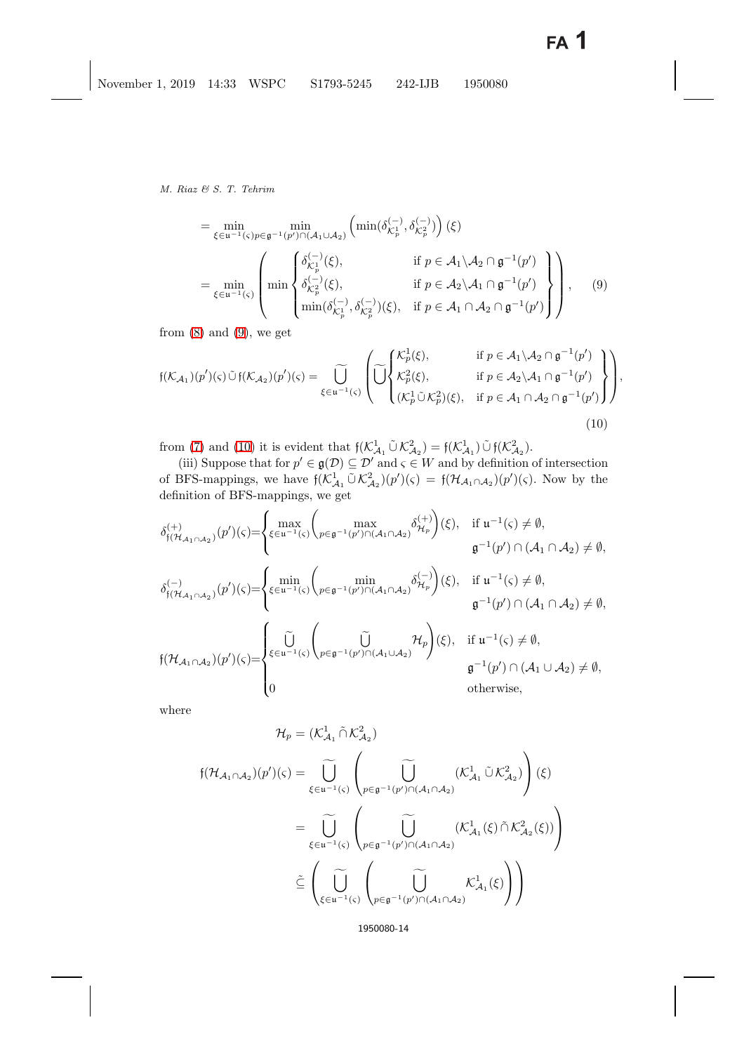$$
= \min_{\xi \in u^{-1}(\varsigma)p \in \mathfrak{g}^{-1}(p') \cap (\mathcal{A}_1 \cup \mathcal{A}_2)} \left( \min(\delta_{\mathcal{K}_p^1}^{(-)}, \delta_{\mathcal{K}_p^2}^{(-)}) \right) (\xi)
$$
  
\n
$$
= \min_{\xi \in u^{-1}(\varsigma)} \left( \min \begin{cases} \delta_{\mathcal{K}_p^1}^{(-)}(\xi), & \text{if } p \in \mathcal{A}_1 \setminus \mathcal{A}_2 \cap \mathfrak{g}^{-1}(p') \\ \delta_{\mathcal{K}_p^2}^{(-)}(\xi), & \text{if } p \in \mathcal{A}_2 \setminus \mathcal{A}_1 \cap \mathfrak{g}^{-1}(p') \\ \min(\delta_{\mathcal{K}_p^1}^{(-)}, \delta_{\mathcal{K}_p^2}^{(-)}) (\xi), & \text{if } p \in \mathcal{A}_1 \cap \mathcal{A}_2 \cap \mathfrak{g}^{-1}(p') \end{cases} \right), \quad (9)
$$

from  $(8)$  and  $(9)$ , we get

$$
\mathfrak{f}(\mathcal{K}_{\mathcal{A}_1})(p')(\varsigma) \tilde{\cup} \mathfrak{f}(\mathcal{K}_{\mathcal{A}_2})(p')(\varsigma) = \widetilde{\bigcup_{\xi \in \mathfrak{u}^{-1}(\varsigma)}} \left( \widetilde{\bigcup_{\zeta \in \mathfrak{u}^{-1}(\varsigma)}} \begin{pmatrix} \mathcal{K}_p^1(\xi), & \text{if } p \in \mathcal{A}_1 \setminus \mathcal{A}_2 \cap \mathfrak{g}^{-1}(p') \\ \mathcal{K}_p^2(\xi), & \text{if } p \in \mathcal{A}_2 \setminus \mathcal{A}_1 \cap \mathfrak{g}^{-1}(p') \\ (\mathcal{K}_p^1 \tilde{\cup} \mathcal{K}_p^2)(\xi), & \text{if } p \in \mathcal{A}_1 \cap \mathcal{A}_2 \cap \mathfrak{g}^{-1}(p') \end{pmatrix} \right),\tag{10}
$$

<span id="page-13-0"></span>from [\(7\)](#page-12-1) and [\(10\)](#page-13-0) it is evident that  $f(\mathcal{K}^1_{\mathcal{A}_1} \cup \mathcal{K}^2_{\mathcal{A}_2}) = f(\mathcal{K}^1_{\mathcal{A}_1}) \cup f(\mathcal{K}^2_{\mathcal{A}_2}).$ <br>(iii) Suppose that for  $x' \in g(\mathcal{D}) \subset \mathcal{D}'$  and  $\in \mathcal{L}$  and by definition

(iii) Suppose that for  $p' \in \mathfrak{g}(\mathcal{D}) \subseteq \mathcal{D}'$  and  $\varsigma \in W$  and by definition of intersection  $BFS$  mappings, we have  $f(K^1 \cap K^2) (\gamma)(\varsigma) = f(\mathcal{H}, \varsigma, \varsigma) (\gamma')(\varsigma)$ . Now by the of BFS-mappings, we have  $\mathfrak{f}(\mathcal{K}^1_{\mathcal{A}_1} \tilde{\cup} \mathcal{K}^2_{\mathcal{A}_2})(p')(\varsigma) = \mathfrak{f}(\mathcal{H}_{\mathcal{A}_1 \cap \mathcal{A}_2})(p')(\varsigma)$ . Now by the definition of BFS mappings, we are definition of BFS-mappings, we get

$$
\delta_{\mathfrak{f}(\mathcal{H}_{\mathcal{A}_1 \cap \mathcal{A}_2)}}^{(+)}(p')(\varsigma) = \begin{cases}\n\max_{\xi \in \mathfrak{u}^{-1}(\varsigma)} \left( \max_{p \in \mathfrak{g}^{-1}(p') \cap (\mathcal{A}_1 \cap \mathcal{A}_2)} \delta_{\mathcal{H}_p}^{(+)} \right)(\xi), & \text{if } \mathfrak{u}^{-1}(\varsigma) \neq \emptyset, \\
\mathfrak{g}^{-1}(p') \cap (\mathcal{A}_1 \cap \mathcal{A}_2) \neq \emptyset, \\
\delta_{\mathfrak{f}(\mathcal{H}_{\mathcal{A}_1 \cap \mathcal{A}_2})}^{(-)}(p')(\varsigma) = \begin{cases}\n\min_{\xi \in \mathfrak{u}^{-1}(\varsigma)} \left( \min_{p \in \mathfrak{g}^{-1}(p') \cap (\mathcal{A}_1 \cap \mathcal{A}_2)} \delta_{\mathcal{H}_p}^{(-)} \right)(\xi), & \text{if } \mathfrak{u}^{-1}(\varsigma) \neq \emptyset, \\
\mathfrak{g}^{-1}(p') \cap (\mathcal{A}_1 \cap \mathcal{A}_2) \neq \emptyset,\n\end{cases}
$$
\n
$$
\mathfrak{f}(\mathcal{H}_{\mathcal{A}_1 \cap \mathcal{A}_2})(p')(\varsigma) = \begin{cases}\n\widetilde{\bigcup}_{\xi \in \mathfrak{u}^{-1}(\varsigma)} \left( \min_{p \in \mathfrak{g}^{-1}(p') \cap (\mathcal{A}_1 \cup \mathcal{A}_2)} \mathcal{H}_p \right)(\xi), & \text{if } \mathfrak{u}^{-1}(\varsigma) \neq \emptyset, \\
\mathfrak{g}^{-1}(p') \cap (\mathcal{A}_1 \cup \mathcal{A}_2) \neq \emptyset, \\
0 & \text{otherwise,}\n\end{cases}
$$

where

$$
\mathcal{H}_{p} = (\mathcal{K}_{\mathcal{A}_{1}}^{1} \cap \mathcal{K}_{\mathcal{A}_{2}}^{2})
$$
\n
$$
f(\mathcal{H}_{\mathcal{A}_{1} \cap \mathcal{A}_{2}})(p')(s) = \bigcup_{\xi \in u^{-1}(\varsigma)} \left( \bigcup_{p \in \mathfrak{g}^{-1}(p') \cap (\mathcal{A}_{1} \cap \mathcal{A}_{2})} (\mathcal{K}_{\mathcal{A}_{1}}^{1} \cap \mathcal{K}_{\mathcal{A}_{2}}^{2}) \right) (\xi)
$$
\n
$$
= \bigcup_{\xi \in u^{-1}(\varsigma)} \left( \bigcup_{p \in \mathfrak{g}^{-1}(p') \cap (\mathcal{A}_{1} \cap \mathcal{A}_{2})} (\mathcal{K}_{\mathcal{A}_{1}}^{1}(\xi) \cap \mathcal{K}_{\mathcal{A}_{2}}^{2}(\xi)) \right)
$$
\n
$$
\tilde{\subseteq} \left( \bigcup_{\xi \in u^{-1}(\varsigma)} \left( \bigcup_{p \in \mathfrak{g}^{-1}(p') \cap (\mathcal{A}_{1} \cap \mathcal{A}_{2})} \mathcal{K}_{\mathcal{A}_{1}}^{1}(\xi) \right) \right)
$$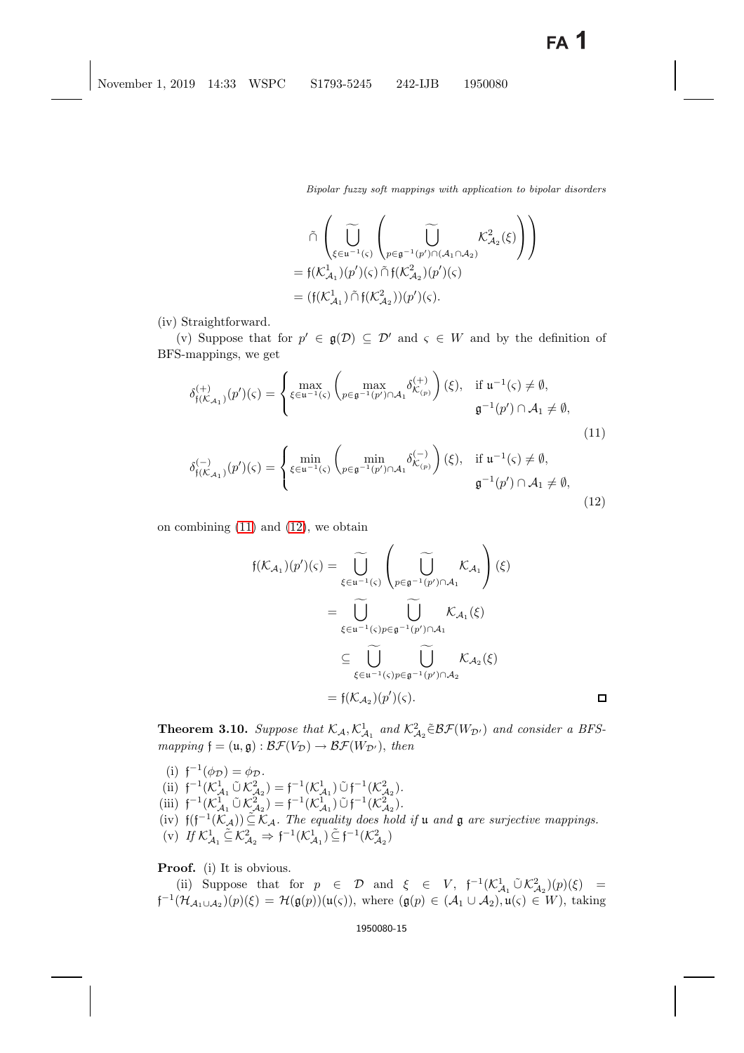*Bipolar fuzzy soft mappings with application to bipolar disorders*

$$
\begin{split} &\tilde{\cap} \left( \bigcup_{\xi \in \mathfrak{u}^{-1}(\varsigma)} \left( \bigcup_{p \in \mathfrak{g}^{-1}(p') \cap (\mathcal{A}_1 \cap \mathcal{A}_2)} \mathcal{K}_{\mathcal{A}_2}^2(\xi) \right) \right) \\ &= \mathfrak{f}(\mathcal{K}_{\mathcal{A}_1}^1)(p')(\varsigma) \, \tilde{\cap} \, \mathfrak{f}(\mathcal{K}_{\mathcal{A}_2}^2)(p')(\varsigma) \\ &= (\mathfrak{f}(\mathcal{K}_{\mathcal{A}_1}^1) \, \tilde{\cap} \, \mathfrak{f}(\mathcal{K}_{\mathcal{A}_2}^2))(p')(\varsigma). \end{split}
$$

(iv) Straightforward.

<span id="page-14-0"></span>(v) Suppose that for  $p' \in \mathfrak{g}(\mathcal{D}) \subseteq \mathcal{D}'$  and  $\varsigma \in W$  and by the definition of BFS-mappings, we get

$$
\delta_{\mathfrak{f}(\mathcal{K}_{\mathcal{A}_1})}^{(+)}(p')(\varsigma) = \begin{cases} \max_{\xi \in \mathfrak{u}^{-1}(\varsigma)} \left( \max_{p \in \mathfrak{g}^{-1}(p') \cap \mathcal{A}_1} \delta_{\mathcal{K}_{(p)}}^{(+)} \right)(\xi), & \text{if } \mathfrak{u}^{-1}(\varsigma) \neq \emptyset, \\ \mathfrak{g}^{-1}(p') \cap \mathcal{A}_1 \neq \emptyset, \end{cases}
$$
\n(11)

$$
\delta_{\mathfrak{f}(\mathcal{K}_{\mathcal{A}_1})}^{(-)}(p')(\varsigma) = \begin{cases} \min_{\xi \in \mathfrak{u}^{-1}(\varsigma)} \begin{pmatrix} \min_{p \in \mathfrak{g}^{-1}(p') \cap \mathcal{A}_1} \delta_{\mathcal{K}_{(p)}}^{(-)} \end{pmatrix} (\xi), & \text{if } \mathfrak{u}^{-1}(\varsigma) \neq \emptyset, \\ \mathfrak{g}^{-1}(p') \cap \mathcal{A}_1 \neq \emptyset, \end{pmatrix} \end{cases} \tag{12}
$$

on combining [\(11\)](#page-14-0) and [\(12\)](#page-14-0), we obtain

$$
f(\mathcal{K}_{\mathcal{A}_1})(p')(s) = \widetilde{\bigcup_{\xi \in \mathfrak{u}^{-1}(\varsigma)}} \left( \widetilde{\bigcup_{p \in \mathfrak{g}^{-1}(p') \cap \mathcal{A}_1}} \mathcal{K}_{\mathcal{A}_1} \right) (\xi)
$$
  

$$
= \widetilde{\bigcup_{\xi \in \mathfrak{u}^{-1}(\varsigma)} \bigcup_{p \in \mathfrak{g}^{-1}(p') \cap \mathcal{A}_1}} \mathcal{K}_{\mathcal{A}_1} (\xi)
$$
  

$$
\subseteq \widetilde{\bigcup_{\xi \in \mathfrak{u}^{-1}(\varsigma)} \bigcup_{p \in \mathfrak{g}^{-1}(p') \cap \mathcal{A}_2}} \mathcal{K}_{\mathcal{A}_2} (\xi)
$$
  

$$
= f(\mathcal{K}_{\mathcal{A}_2})(p')(s).
$$

**Theorem 3.10.** Suppose that  $K_A$ ,  $K_{A_1}^1$  and  $K_{A_2}^2 \in \mathcal{BF}(W_{\mathcal{D}'})$  and consider a BFS*mapping*  $f = (\mathfrak{u}, \mathfrak{g}) : \mathcal{BF}(V_{\mathcal{D}}) \to \mathcal{BF}(W_{\mathcal{D}})$ , *then* 

\n- (i) 
$$
f^{-1}(\phi_{\mathcal{D}}) = \phi_{\mathcal{D}}
$$
.
\n- (ii)  $f^{-1}(K_{\mathcal{A}_1}^1 \tilde{\cup} K_{\mathcal{A}_2}^2) = f^{-1}(K_{\mathcal{A}_1}^1) \tilde{\cup} f^{-1}(K_{\mathcal{A}_2}^2)$ .
\n- (iii)  $f^{-1}(K_{\mathcal{A}_1}^1 \tilde{\cup} K_{\mathcal{A}_2}^2) = f^{-1}(K_{\mathcal{A}_1}^1) \tilde{\cup} f^{-1}(K_{\mathcal{A}_2}^2)$ .
\n- (iv)  $f(f^{-1}(K_{\mathcal{A}})) \tilde{\subseteq} K_{\mathcal{A}}$ . The equality does hold if  $u$  and  $\mathfrak{g}$  are surjective mappings.
\n- (v) If  $K_{\mathcal{A}_1}^1 \tilde{\subseteq} K_{\mathcal{A}_2}^2 \Rightarrow f^{-1}(K_{\mathcal{A}_1}^1) \tilde{\subseteq} f^{-1}(K_{\mathcal{A}_2}^2)$ .
\n

**Proof.** (i) It is obvious.

(ii) Suppose that for  $p \in \mathcal{D}$  and  $\xi \in V$ ,  $f^{-1}(\mathcal{K}_{\mathcal{A}_1}^1 \tilde{\cup} \mathcal{K}_{\mathcal{A}_2}^2)(p)(\xi) =$ <br> $(\mathcal{H}_{\mathcal{A}_1} \cup \mathcal{N}_{\mathcal{A}_2})$  $f^{-1}(\mathcal{H}_{\mathcal{A}_1\cup\mathcal{A}_2})(p)(\xi) = \mathcal{H}(\mathfrak{g}(p))(\mathfrak{u}(\varsigma)),$  where  $(\mathfrak{g}(p) \in (\mathcal{A}_1\cup\mathcal{A}_2), \mathfrak{u}(\varsigma) \in W)$ , taking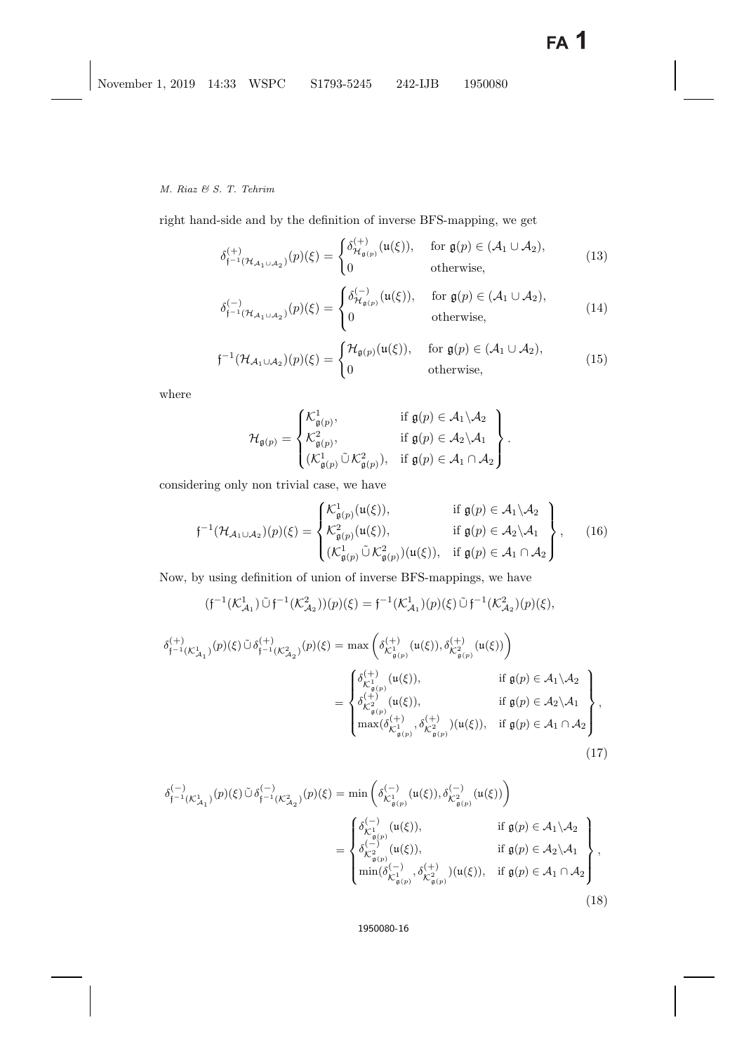right hand-side and by the definition of inverse BFS-mapping, we get

$$
\delta_{\mathfrak{f}^{-1}(\mathcal{H}_{\mathcal{A}_1 \cup \mathcal{A}_2})}^{(+)}(p)(\xi) = \begin{cases} \delta_{\mathcal{H}_{\mathfrak{g}(p)}}^{(+)}(\mathfrak{u}(\xi)), & \text{for } \mathfrak{g}(p) \in (\mathcal{A}_1 \cup \mathcal{A}_2), \\ 0 & \text{otherwise,} \end{cases}
$$
(13)

$$
\delta_{\mathfrak{f}^{-1}(\mathcal{H}_{\mathcal{A}_1 \cup \mathcal{A}_2})}^{(-)}(p)(\xi) = \begin{cases} \delta_{\mathcal{H}_{\mathfrak{g}(p)}}^{(-)}(\mathfrak{u}(\xi)), & \text{for } \mathfrak{g}(p) \in (\mathcal{A}_1 \cup \mathcal{A}_2), \\ 0 & \text{otherwise,} \end{cases}
$$
(14)

$$
\mathfrak{f}^{-1}(\mathcal{H}_{\mathcal{A}_1 \cup \mathcal{A}_2})(p)(\xi) = \begin{cases} \mathcal{H}_{\mathfrak{g}(p)}(\mathfrak{u}(\xi)), & \text{for } \mathfrak{g}(p) \in (\mathcal{A}_1 \cup \mathcal{A}_2), \\ 0 & \text{otherwise,} \end{cases}
$$
(15)

where

$$
\mathcal{H}_{\mathfrak{g}(p)} = \begin{Bmatrix} \mathcal{K}^1_{\mathfrak{g}(p)}, & \text{if } \mathfrak{g}(p) \in \mathcal{A}_1 \setminus \mathcal{A}_2 \\ \mathcal{K}^2_{\mathfrak{g}(p)}, & \text{if } \mathfrak{g}(p) \in \mathcal{A}_2 \setminus \mathcal{A}_1 \\ (\mathcal{K}^1_{\mathfrak{g}(p)} \tilde{\cup} \mathcal{K}^2_{\mathfrak{g}(p)}), & \text{if } \mathfrak{g}(p) \in \mathcal{A}_1 \cap \mathcal{A}_2 \end{Bmatrix}.
$$

considering only non trivial case, we have

$$
\mathfrak{f}^{-1}(\mathcal{H}_{\mathcal{A}_1 \cup \mathcal{A}_2})(p)(\xi) = \begin{cases} \mathcal{K}^1_{\mathfrak{g}(p)}(\mathfrak{u}(\xi)), & \text{if } \mathfrak{g}(p) \in \mathcal{A}_1 \setminus \mathcal{A}_2 \\ \mathcal{K}^2_{\mathfrak{g}(p)}(\mathfrak{u}(\xi)), & \text{if } \mathfrak{g}(p) \in \mathcal{A}_2 \setminus \mathcal{A}_1 \\ (\mathcal{K}^1_{\mathfrak{g}(p)} \cup \mathcal{K}^2_{\mathfrak{g}(p)})(\mathfrak{u}(\xi)), & \text{if } \mathfrak{g}(p) \in \mathcal{A}_1 \cap \mathcal{A}_2 \end{cases}, \quad (16)
$$

<span id="page-15-2"></span>Now, by using definition of union of inverse BFS-mappings, we have

$$
(f^{-1}(\mathcal{K}_{\mathcal{A}_1}^1) \tilde{\cup} f^{-1}(\mathcal{K}_{\mathcal{A}_2}^2))(p)(\xi) = f^{-1}(\mathcal{K}_{\mathcal{A}_1}^1)(p)(\xi) \tilde{\cup} f^{-1}(\mathcal{K}_{\mathcal{A}_2}^2)(p)(\xi),
$$
  

$$
\delta_{f^{-1}(\mathcal{K}_{\mathcal{A}_1}^1)}^{(+)}(p)(\xi) \tilde{\cup} \delta_{f^{-1}(\mathcal{K}_{\mathcal{A}_2}^2)}^{(+)}(p)(\xi) = \max \left( \delta_{\mathcal{K}_{\mathfrak{g}(p)}^1}^{(+)}(\mathfrak{u}(\xi)), \delta_{\mathcal{K}_{\mathfrak{g}(p)}^2}^{(+)}(\mathfrak{u}(\xi)) \right)
$$
  

$$
= \begin{cases} \delta_{\mathcal{K}_{\mathfrak{g}(p)}^1}^{(+)}(\mathfrak{u}(\xi)), & \text{if } \mathfrak{g}(p) \in \mathcal{A}_1 \setminus \mathcal{A}_2 \\ \delta_{\mathcal{K}_{\mathfrak{g}(p)}^2}^{(+)}(\mathfrak{u}(\xi)), & \text{if } \mathfrak{g}(p) \in \mathcal{A}_2 \setminus \mathcal{A}_1 \\ \max(\delta_{\mathcal{K}_{\mathfrak{g}(p)}^1}^{(+)} , \delta_{\mathcal{K}_{\mathfrak{g}(p)}^2}^{(+)})(\mathfrak{u}(\xi)), & \text{if } \mathfrak{g}(p) \in \mathcal{A}_1 \cap \mathcal{A}_2 \end{cases},
$$
  
(17)

<span id="page-15-1"></span><span id="page-15-0"></span>
$$
\delta_{\mathfrak{f}^{-1}(\mathcal{K}_{\mathcal{A}_{1}}^{1})}^{(-)}(p)(\xi) \tilde{\cup} \delta_{\mathfrak{f}^{-1}(\mathcal{K}_{\mathcal{A}_{2}}^{2})}^{(-)}(p)(\xi) = \min\left(\delta_{\mathcal{K}_{\mathfrak{g}(p)}^{1}}^{(-)}(\mathfrak{u}(\xi)), \delta_{\mathcal{K}_{\mathfrak{g}(p)}^{2}}^{(-)}(\mathfrak{u}(\xi))\right)
$$
\n
$$
= \begin{cases}\n\delta_{\mathcal{K}_{\mathfrak{g}(p)}^{1}}^{(-)}(\mathfrak{u}(\xi)), & \text{if } \mathfrak{g}(p) \in \mathcal{A}_{1} \setminus \mathcal{A}_{2} \\
\delta_{\mathcal{K}_{\mathfrak{g}(p)}^{2}}^{(-)}(\mathfrak{u}(\xi)), & \text{if } \mathfrak{g}(p) \in \mathcal{A}_{2} \setminus \mathcal{A}_{1} \\
\min(\delta_{\mathcal{K}_{\mathfrak{g}(p)}^{1}}^{(-)}, \delta_{\mathcal{K}_{\mathfrak{g}(p)}^{2}}^{(+)})(\mathfrak{u}(\xi)), & \text{if } \mathfrak{g}(p) \in \mathcal{A}_{1} \cap \mathcal{A}_{2}\n\end{cases},
$$
\n(18)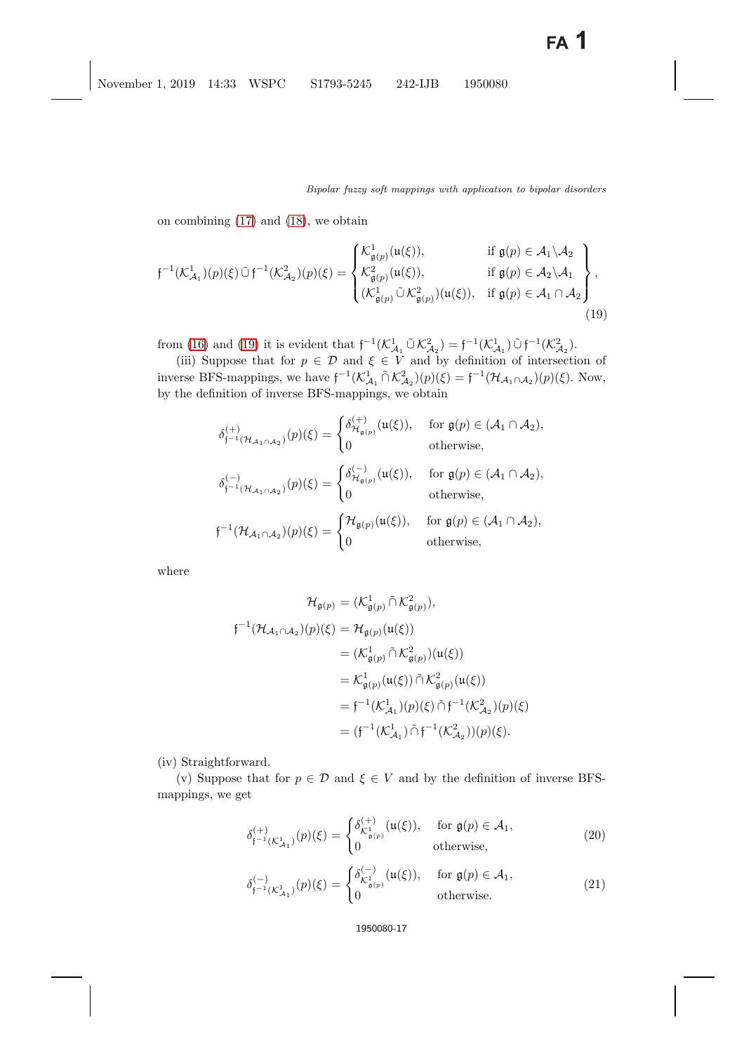on combining [\(17\)](#page-15-0) and [\(18\)](#page-15-1), we obtain

<span id="page-16-0"></span>
$$
\mathfrak{f}^{-1}(\mathcal{K}_{\mathcal{A}_1}^1)(p)(\xi)\tilde{\cup}\mathfrak{f}^{-1}(\mathcal{K}_{\mathcal{A}_2}^2)(p)(\xi) = \begin{cases} \mathcal{K}_{\mathfrak{g}(p)}^1(\mathfrak{u}(\xi)), & \text{if } \mathfrak{g}(p) \in \mathcal{A}_1 \setminus \mathcal{A}_2 \\ \mathcal{K}_{\mathfrak{g}(p)}^2(\mathfrak{u}(\xi)), & \text{if } \mathfrak{g}(p) \in \mathcal{A}_2 \setminus \mathcal{A}_1 \\ (\mathcal{K}_{\mathfrak{g}(p)}^1 \tilde{\cup} \mathcal{K}_{\mathfrak{g}(p)}^2)(\mathfrak{u}(\xi)), & \text{if } \mathfrak{g}(p) \in \mathcal{A}_1 \cap \mathcal{A}_2 \end{cases},
$$
\n
$$
(19)
$$

from [\(16\)](#page-15-2) and [\(19\)](#page-16-0) it is evident that  $f^{-1}(\mathcal{K}_{\mathcal{A}_1}^1 \tilde{\cup} \mathcal{K}_{\mathcal{A}_2}^2) = f^{-1}(\mathcal{K}_{\mathcal{A}_1}^1) \tilde{\cup} f^{-1}(\mathcal{K}_{\mathcal{A}_2}^2)$ .<br>(iii) Suppose that for  $n \in \mathcal{D}$  and  $\xi \in V$  and by definition of interception

(iii) Suppose that for  $p \in \mathcal{D}$  and  $\xi \in V$  and by definition of intersection of inverse BFS-mappings, we have  $f^{-1}(K_{\mathcal{A}_1}^1 \cap K_{\mathcal{A}_2}^2)(p)(\xi) = f^{-1}(\mathcal{H}_{\mathcal{A}_1 \cap \mathcal{A}_2})(p)(\xi)$ . Now,<br>by the definition of inverse BFS mappings, we obtain by the definition of inverse BFS-mappings, we obtain

$$
\delta_{\mathfrak{f}^{-1}(\mathcal{H}_{\mathcal{A}_1 \cap \mathcal{A}_2})}^{(+)}(p)(\xi) = \begin{cases} \delta_{\mathcal{H}_{\mathfrak{g}(p)}}^{(+)}(\mathfrak{u}(\xi)), & \text{for } \mathfrak{g}(p) \in (\mathcal{A}_1 \cap \mathcal{A}_2), \\ 0 & \text{otherwise,} \end{cases}
$$
  
\n
$$
\delta_{\mathfrak{f}^{-1}(\mathcal{H}_{\mathcal{A}_1 \cap \mathcal{A}_2})}^{(-)}(p)(\xi) = \begin{cases} \delta_{\mathcal{H}_{\mathfrak{g}(p)}}^{(-)}(\mathfrak{u}(\xi)), & \text{for } \mathfrak{g}(p) \in (\mathcal{A}_1 \cap \mathcal{A}_2), \\ 0 & \text{otherwise,} \end{cases}
$$
  
\n
$$
\mathfrak{f}^{-1}(\mathcal{H}_{\mathcal{A}_1 \cap \mathcal{A}_2})(p)(\xi) = \begin{cases} \mathcal{H}_{\mathfrak{g}(p)}(\mathfrak{u}(\xi)), & \text{for } \mathfrak{g}(p) \in (\mathcal{A}_1 \cap \mathcal{A}_2), \\ 0 & \text{otherwise,} \end{cases}
$$

where

$$
\mathcal{H}_{\mathfrak{g}(p)} = (\mathcal{K}_{\mathfrak{g}(p)}^1 \cap \mathcal{K}_{\mathfrak{g}(p)}^2),
$$
  

$$
\mathfrak{f}^{-1}(\mathcal{H}_{\mathcal{A}_1 \cap \mathcal{A}_2})(p)(\xi) = \mathcal{H}_{\mathfrak{g}(p)}(\mathfrak{u}(\xi))
$$

$$
= (\mathcal{K}_{\mathfrak{g}(p)}^1 \cap \mathcal{K}_{\mathfrak{g}(p)}^2)(\mathfrak{u}(\xi))
$$

$$
= \mathcal{K}_{\mathfrak{g}(p)}^1(\mathfrak{u}(\xi)) \cap \mathcal{K}_{\mathfrak{g}(p)}^2(\mathfrak{u}(\xi))
$$

$$
= \mathfrak{f}^{-1}(\mathcal{K}_{\mathcal{A}_1}^1)(p)(\xi) \cap \mathfrak{f}^{-1}(\mathcal{K}_{\mathcal{A}_2}^2)(p)(\xi)
$$

$$
= (\mathfrak{f}^{-1}(\mathcal{K}_{\mathcal{A}_1}^1) \cap \mathfrak{f}^{-1}(\mathcal{K}_{\mathcal{A}_2}^2))(p)(\xi).
$$

(iv) Straightforward.

<span id="page-16-1"></span>(v) Suppose that for  $p \in \mathcal{D}$  and  $\xi \in V$  and by the definition of inverse BFSmappings, we get

$$
\delta_{\mathfrak{f}^{-1}(\mathcal{K}_{\mathcal{A}_1}^1)}^{(+)}(p)(\xi) = \begin{cases} \delta_{\mathcal{K}_{\mathfrak{g}(p)}^1}^{(+)}(\mathfrak{u}(\xi)), & \text{for } \mathfrak{g}(p) \in \mathcal{A}_1, \\ 0 & \text{otherwise,} \end{cases}
$$
 (20)

$$
\delta_{\mathfrak{f}^{-1}(\mathcal{K}_{\mathcal{A}_1}^1)}^{(-)}(p)(\xi) = \begin{cases} \delta_{\mathcal{K}_{\mathfrak{g}(p)}^1}^{(-)}(\mathfrak{u}(\xi)), & \text{for } \mathfrak{g}(p) \in \mathcal{A}_1, \\ 0 & \text{otherwise.} \end{cases}
$$
\n(21)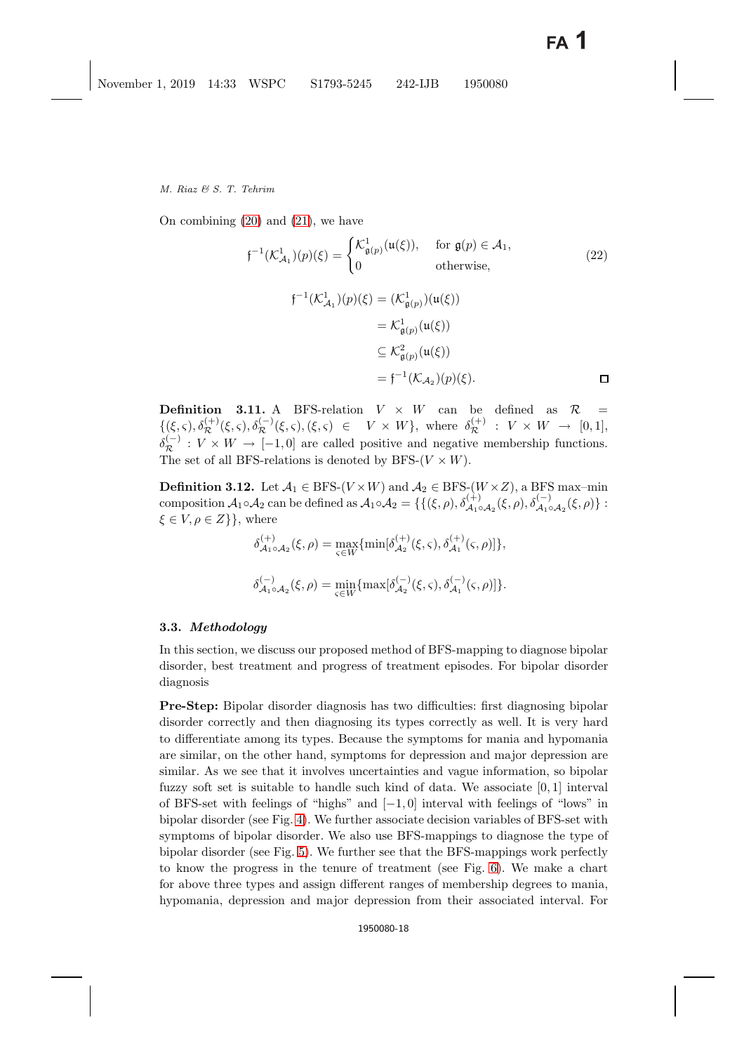On combining [\(20\)](#page-16-1) and [\(21\)](#page-16-1), we have

$$
\mathfrak{f}^{-1}(\mathcal{K}_{\mathcal{A}_1}^1)(p)(\xi) = \begin{cases} \mathcal{K}_{\mathfrak{g}(p)}^1(\mathfrak{u}(\xi)), & \text{for } \mathfrak{g}(p) \in \mathcal{A}_1, \\ 0 & \text{otherwise,} \end{cases}
$$
\n
$$
\mathfrak{f}^{-1}(\mathcal{K}_{\mathcal{A}_1}^1)(p)(\xi) = (\mathcal{K}_{\mathfrak{g}(p)}^1)(\mathfrak{u}(\xi))
$$
\n
$$
= \mathcal{K}_{\mathfrak{g}(p)}^1(\mathfrak{u}(\xi))
$$
\n
$$
\subseteq \mathcal{K}_{\mathfrak{g}(p)}^2(\mathfrak{u}(\xi))
$$
\n
$$
= \mathfrak{f}^{-1}(\mathcal{K}_{\mathcal{A}_2})(p)(\xi).
$$
\n
$$
\Box
$$

**Definition 3.11.** A BFS-relation  $V \times W$  can be defined as  $\mathcal{R}$  =  $\{(\xi, \varsigma), \delta_{\mathcal{R}}^{(+)}(\xi, \varsigma), \delta_{\mathcal{R}}^{(-)}(\xi, \varsigma), (\xi, \varsigma) \in V \times W\},\$  where  $\delta_{\mathcal{R}}^{(+)} : V \times W \rightarrow [0, 1],$  $\delta_{\mathcal{R}}^{(-)}: V \times W \to [-1,0]$  are called positive and negative membership functions. The set of all BFS-relations is denoted by BFS- $(V \times W)$ .

**Definition 3.12.** Let  $\mathcal{A}_1 \in \text{BFS-}(V \times W)$  and  $\mathcal{A}_2 \in \text{BFS-}(W \times Z)$ , a BFS max–min composition  $\mathcal{A}_1 \circ \mathcal{A}_2$  can be defined as  $\mathcal{A}_1 \circ \mathcal{A}_2 = \{ \{ (\xi, \rho), \delta_{\mathcal{A}_1 \circ \mathcal{A}_2}^{(+)}(\xi, \rho), \delta_{\mathcal{A}_1 \circ \mathcal{A}_2}^{(-)}(\xi, \rho) \}$ :  $\xi \in V, \rho \in Z$ }, where

$$
\delta^{(+)}_{\mathcal{A}_1 \circ \mathcal{A}_2}(\xi, \rho) = \max_{\varsigma \in W} \{ \min[\delta^{(+)}_{\mathcal{A}_2}(\xi, \varsigma), \delta^{(+)}_{\mathcal{A}_1}(\varsigma, \rho)] \},
$$
  

$$
\delta^{(-)}_{\mathcal{A}_1 \circ \mathcal{A}_2}(\xi, \rho) = \min_{\varsigma \in W} \{ \max[\delta^{(-)}_{\mathcal{A}_2}(\xi, \varsigma), \delta^{(-)}_{\mathcal{A}_1}(\varsigma, \rho)] \}.
$$

### **3.3.** *Methodology*

In this section, we discuss our proposed method of BFS-mapping to diagnose bipolar disorder, best treatment and progress of treatment episodes. For bipolar disorder diagnosis

**Pre-Step:** Bipolar disorder diagnosis has two difficulties: first diagnosing bipolar disorder correctly and then diagnosing its types correctly as well. It is very hard to differentiate among its types. Because the symptoms for mania and hypomania are similar, on the other hand, symptoms for depression and major depression are similar. As we see that it involves uncertainties and vague information, so bipolar fuzzy soft set is suitable to handle such kind of data. We associate  $[0, 1]$  interval of BFS-set with feelings of "highs" and [−1, 0] interval with feelings of "lows" in bipolar disorder (see Fig. [4\)](#page-19-0). We further associate decision variables of BFS-set with symptoms of bipolar disorder. We also use BFS-mappings to diagnose the type of bipolar disorder (see Fig. [5\)](#page-20-0). We further see that the BFS-mappings work perfectly to know the progress in the tenure of treatment (see Fig. [6\)](#page-21-0). We make a chart for above three types and assign different ranges of membership degrees to mania, hypomania, depression and major depression from their associated interval. For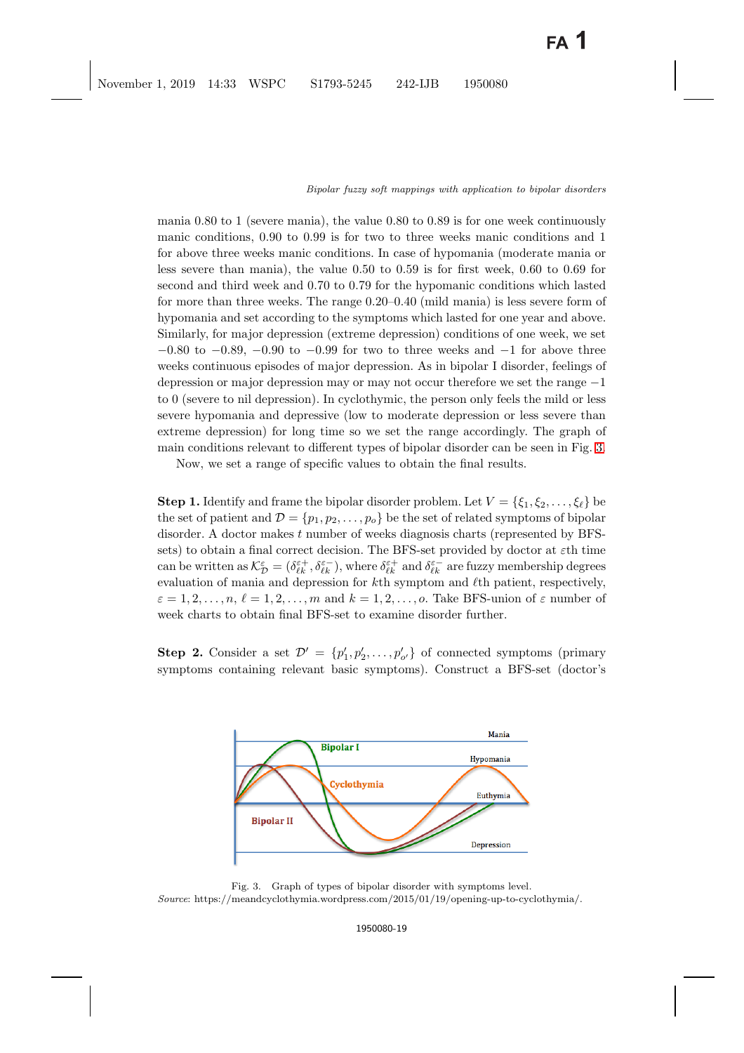mania 0.80 to 1 (severe mania), the value 0.80 to 0.89 is for one week continuously manic conditions, 0.90 to 0.99 is for two to three weeks manic conditions and 1 for above three weeks manic conditions. In case of hypomania (moderate mania or less severe than mania), the value 0.50 to 0.59 is for first week, 0.60 to 0.69 for second and third week and 0.70 to 0.79 for the hypomanic conditions which lasted for more than three weeks. The range 0.20–0.40 (mild mania) is less severe form of hypomania and set according to the symptoms which lasted for one year and above. Similarly, for major depression (extreme depression) conditions of one week, we set  $-0.80$  to  $-0.89$ ,  $-0.90$  to  $-0.99$  for two to three weeks and  $-1$  for above three weeks continuous episodes of major depression. As in bipolar I disorder, feelings of depression or major depression may or may not occur therefore we set the range −1 to 0 (severe to nil depression). In cyclothymic, the person only feels the mild or less severe hypomania and depressive (low to moderate depression or less severe than extreme depression) for long time so we set the range accordingly. The graph of main conditions relevant to different types of bipolar disorder can be seen in Fig. [3.](#page-18-0)

Now, we set a range of specific values to obtain the final results.

**Step 1.** Identify and frame the bipolar disorder problem. Let  $V = \{\xi_1, \xi_2, \dots, \xi_\ell\}$  be the set of patient and  $\mathcal{D} = \{p_1, p_2, \ldots, p_o\}$  be the set of related symptoms of bipolar disorder. A doctor makes t number of weeks diagnosis charts (represented by BFSsets) to obtain a final correct decision. The BFS-set provided by doctor at  $\varepsilon$ th time can be written as  $\mathcal{K}_{\mathcal{D}}^{\varepsilon} = (\delta_{\ell k}^{\varepsilon +}, \delta_{\ell k}^{\varepsilon -})$ , where  $\delta_{\ell k}^{\varepsilon +}$  and  $\delta_{\ell k}^{\varepsilon -}$  are fuzzy membership degrees evaluation of mania and depression for  $k$ th symptom and  $\ell$ th patient, respectively,  $\varepsilon = 1, 2, \ldots, n, \ell = 1, 2, \ldots, m$  and  $k = 1, 2, \ldots, o$ . Take BFS-union of  $\varepsilon$  number of week charts to obtain final BFS-set to examine disorder further.

**Step 2.** Consider a set  $\mathcal{D}' = \{p'_1, p'_2, \ldots, p'_{o'}\}$  of connected symptoms (primary symptoms containing relevant basic symptoms). Construct a BFS-set (doctor's



<span id="page-18-0"></span>Fig. 3. Graph of types of bipolar disorder with symptoms level. *Source*: https://meandcyclothymia.wordpress.com/2015/01/19/opening-up-to-cyclothymia/.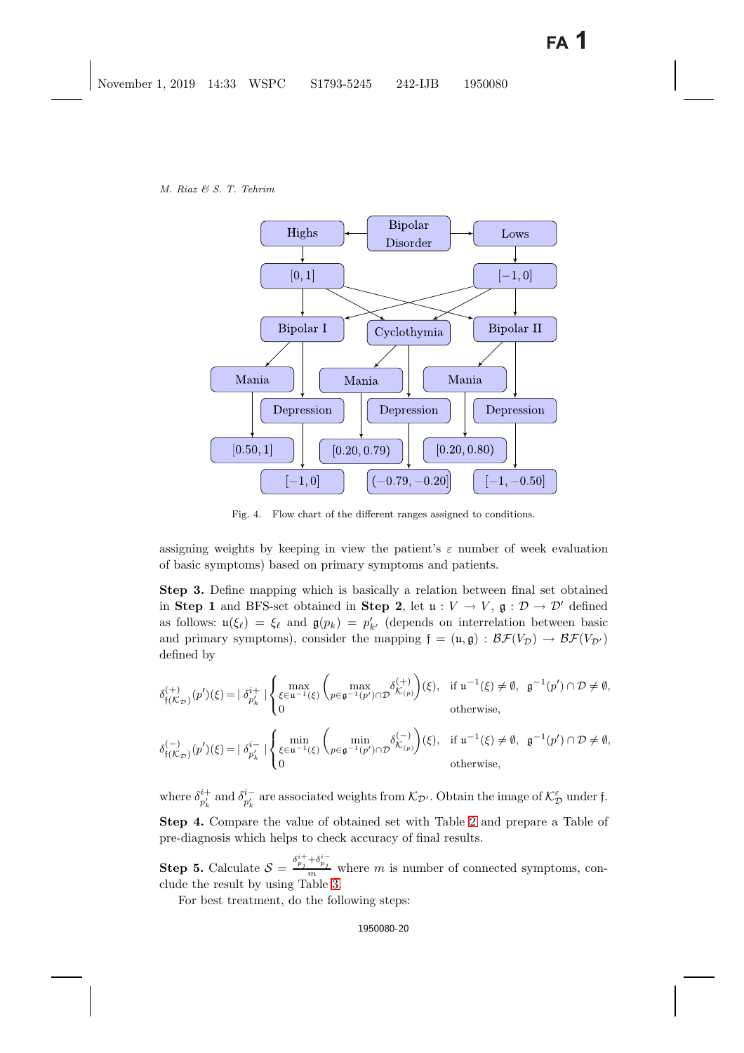

Fig. 4. Flow chart of the different ranges assigned to conditions.

<span id="page-19-0"></span>assigning weights by keeping in view the patient's  $\varepsilon$  number of week evaluation of basic symptoms) based on primary symptoms and patients.

**Step 3.** Define mapping which is basically a relation between final set obtained in **Step 1** and BFS-set obtained in **Step 2**, let  $u: V \to V$ ,  $g: \mathcal{D} \to \mathcal{D}'$  defined as follows:  $u(\xi_{\ell}) = \xi_{\ell}$  and  $g(p_k) = p'_{k'}$  (depends on interrelation between basic<br>and primary symptoms), consider the mapping  $f = (u, a) : \mathcal{RF}(V_{\ell}) \to \mathcal{RF}(V_{\ell})$ . and primary symptoms), consider the mapping  $f = (\mathfrak{u}, \mathfrak{g}) : \mathcal{BF}(V_{\mathcal{D}}) \to \mathcal{BF}(V_{\mathcal{D}'})$ defined by

$$
\delta_{\mathfrak{f}(\mathcal{K}_{\mathcal{D}})}^{(+)}(p')(\xi) = |\delta_{p'_k}^{i+}|\begin{cases} \max\limits_{\xi \in \mathfrak{u}^{-1}(\xi)} \binom{\max\limits_{p \in \mathfrak{g}^{-1}(p') \cap \mathcal{D}} \delta_{\mathcal{K}_{(p)}}^{(+)}(\xi), & \text{if } \mathfrak{u}^{-1}(\xi) \neq \emptyset, \mathfrak{g}^{-1}(p') \cap \mathcal{D} \neq \emptyset, \\ 0 & \text{otherwise}, \end{cases}
$$

$$
\delta_{\mathfrak{f}(\mathcal{K}_{\mathcal{D}})}^{(-)}(p')(\xi)=|\delta_{p'_{k}}^{i-}|\begin{cases} \min\limits_{\xi\in\mathfrak{u}^{-1}(\xi)}\binom{\min}\{\rho\in\mathfrak{g}^{-1}(p')\cap\mathcal{D}}\delta_{\mathcal{K}(p)}^{(-)}\end{cases}(\xi),\quad\text{if }\mathfrak{u}^{-1}(\xi)\neq\emptyset,\quad\mathfrak{g}^{-1}(p')\cap\mathcal{D}\neq\emptyset,
$$
\notheewise,

where  $\delta_{p'_k}^{i+}$  and  $\delta_{p'_k}^{i-}$  are associated weights from  $\mathcal{K}_{\mathcal{D}}$ . Obtain the image of  $\mathcal{K}_{\mathcal{D}}^{\varepsilon}$  under f. **Step 4.** Compare the value of obtained set with Table [2](#page-21-1) and prepare a Table of pre-diagnosis which helps to check accuracy of final results.

**Step 5.** Calculate  $S = \frac{\delta_{pj}^{i+} + \delta_{pj}^{i-}}{m}$  where m is number of connected symptoms, conclude the result by using Table [3.](#page-22-1)

For best treatment, do the following steps: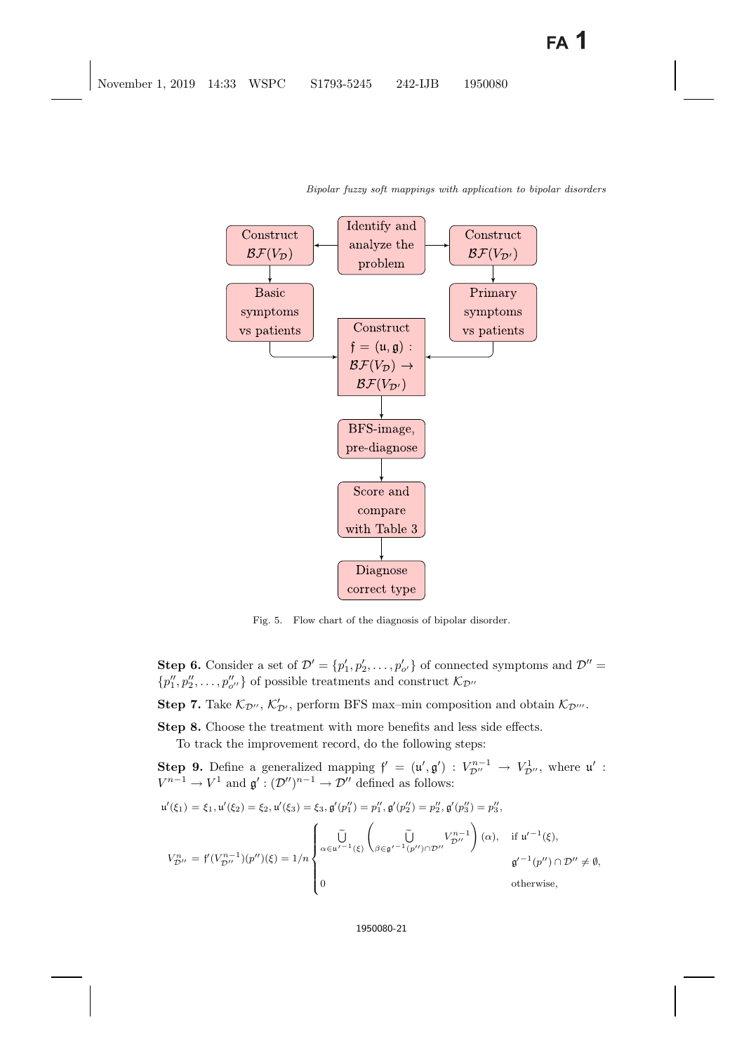

<span id="page-20-0"></span>Fig. 5. Flow chart of the diagnosis of bipolar disorder.

**Step 6.** Consider a set of  $\mathcal{D}' = \{p'_1, p'_2, \dots, p'_{o'}\}$  of connected symptoms and  $\mathcal{D}'' =$  $\{p''_1, p''_2, \ldots, p''_{o''}\}\$  of possible treatments and construct  $\mathcal{K}_{\mathcal{D}''}$ 

**Step 7.** Take  $\mathcal{K}_{\mathcal{D}'}$ ,  $\mathcal{K}'_{\mathcal{D}'}$ , perform BFS max-min composition and obtain  $\mathcal{K}_{\mathcal{D}''}$ .

**Step 8.** Choose the treatment with more benefits and less side effects.

To track the improvement record, do the following steps:

**Step 9.** Define a generalized mapping  $f' = (u', g') : V_{\mathcal{D}''}^{n-1} \to V_{\mathcal{D}''}^1$ , where  $u' : V_{\mathcal{D}''}^{n-1} \to V_{\mathcal{D}''}^1$  and  $g' : (\mathcal{D}'')^{n-1} \to \mathcal{D}''$  defined as follows:  $V^{n-1} \to V^1$  and  $\mathfrak{g}' : (\mathcal{D}'')^{n-1} \to \mathcal{D}''$  defined as follows:

$$
u'(\xi_1) = \xi_1, u'(\xi_2) = \xi_2, u'(\xi_3) = \xi_3, g'(p_1'') = p_1'', g'(p_2'') = p_2'', g'(p_3'') = p_3'',
$$
  

$$
V_{D''}^n = f'(V_{D''}^{n-1})(p'')(\xi) = 1/n \begin{cases} \tilde{U} & V_{D''}^{n-1} \\ \alpha \in u'^{-1}(\xi) \begin{pmatrix} \tilde{U} & V_{D''}^{n-1} \\ \beta \in g'^{-1}(p'') \cap \mathcal{D}'' \neq \emptyset, \\ 0 & \text{otherwise,} \end{pmatrix} \end{cases}
$$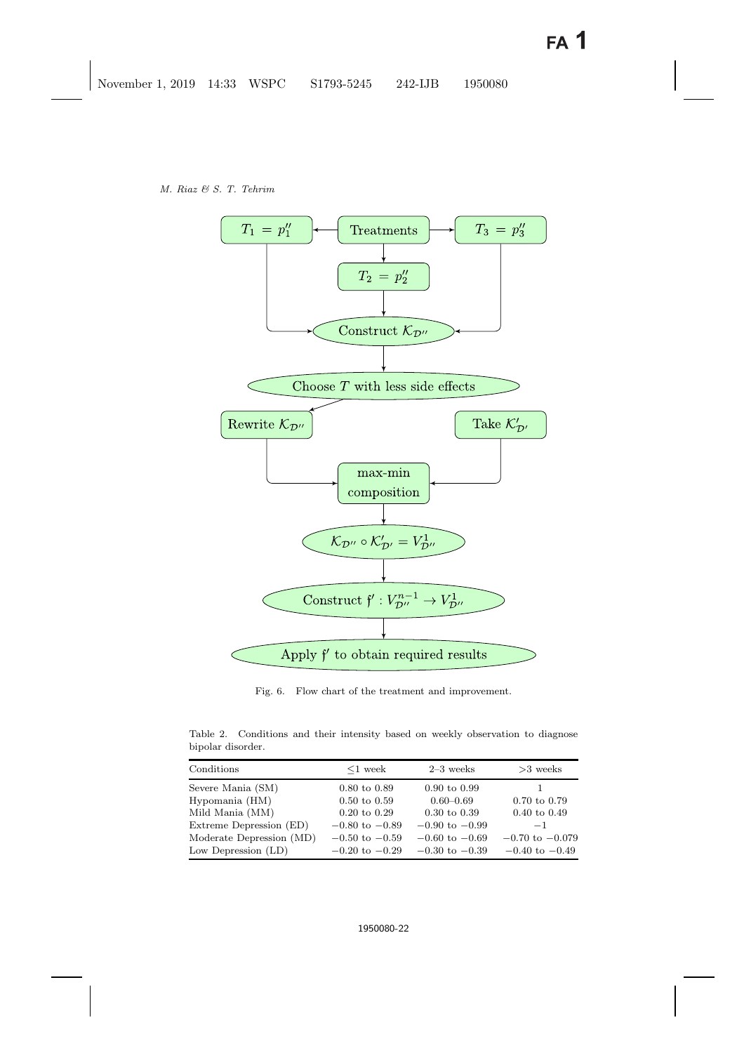

Fig. 6. Flow chart of the treatment and improvement.

<span id="page-21-1"></span><span id="page-21-0"></span>Table 2. Conditions and their intensity based on weekly observation to diagnose bipolar disorder.

| Conditions               | $\leq 1$ week             | $2-3$ weeks               | $>3$ weeks                |
|--------------------------|---------------------------|---------------------------|---------------------------|
| Severe Mania (SM)        | $0.80 \text{ to } 0.89$   | $0.90 \text{ to } 0.99$   |                           |
| Hypomania (HM)           | $0.50 \text{ to } 0.59$   | $0.60 - 0.69$             | $0.70 \text{ to } 0.79$   |
| Mild Mania (MM)          | $0.20 \text{ to } 0.29$   | $0.30 \text{ to } 0.39$   | $0.40 \text{ to } 0.49$   |
| Extreme Depression (ED)  | $-0.80$ to $-0.89$        | $-0.90$ to $-0.99$        | $-1$                      |
| Moderate Depression (MD) | $-0.50 \text{ to } -0.59$ | $-0.60$ to $-0.69$        | $-0.70$ to $-0.079$       |
| Low Depression $(LD)$    | $-0.20 \text{ to } -0.29$ | $-0.30 \text{ to } -0.39$ | $-0.40 \text{ to } -0.49$ |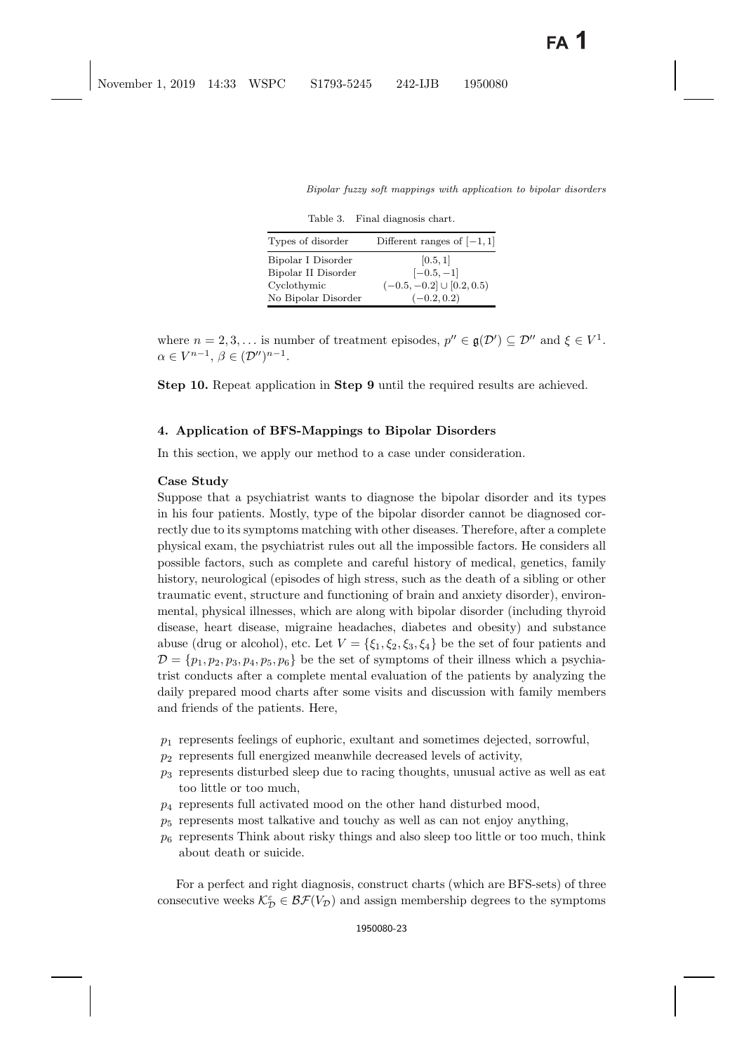| Table 3. |  | Final diagnosis chart. |  |
|----------|--|------------------------|--|
|----------|--|------------------------|--|

<span id="page-22-1"></span>

| Types of disorder                                        | Different ranges of $[-1, 1]$                              |
|----------------------------------------------------------|------------------------------------------------------------|
| Bipolar I Disorder<br>Bipolar II Disorder<br>Cyclothymic | [0.5, 1]<br>$[-0.5, -1]$<br>$(-0.5, -0.2] \cup [0.2, 0.5]$ |
| No Bipolar Disorder                                      | $(-0.2, 0.2)$                                              |

where  $n = 2, 3, ...$  is number of treatment episodes,  $p'' \in \mathfrak{g}(\mathcal{D}') \subseteq \mathcal{D}''$  and  $\xi \in V^1$ .<br> $\alpha \in V^{n-1}$ ,  $\beta \in (\mathcal{D}'')^{n-1}$  $\alpha \in V^{n-1}, \beta \in (\mathcal{D}'')^{n-1}.$ 

**Step 10.** Repeat application in **Step 9** until the required results are achieved.

### <span id="page-22-0"></span>**4. Application of BFS-Mappings to Bipolar Disorders**

In this section, we apply our method to a case under consideration.

### **Case Study**

Suppose that a psychiatrist wants to diagnose the bipolar disorder and its types in his four patients. Mostly, type of the bipolar disorder cannot be diagnosed correctly due to its symptoms matching with other diseases. Therefore, after a complete physical exam, the psychiatrist rules out all the impossible factors. He considers all possible factors, such as complete and careful history of medical, genetics, family history, neurological (episodes of high stress, such as the death of a sibling or other traumatic event, structure and functioning of brain and anxiety disorder), environmental, physical illnesses, which are along with bipolar disorder (including thyroid disease, heart disease, migraine headaches, diabetes and obesity) and substance abuse (drug or alcohol), etc. Let  $V = \{\xi_1, \xi_2, \xi_3, \xi_4\}$  be the set of four patients and  $\mathcal{D} = \{p_1, p_2, p_3, p_4, p_5, p_6\}$  be the set of symptoms of their illness which a psychiatrist conducts after a complete mental evaluation of the patients by analyzing the daily prepared mood charts after some visits and discussion with family members and friends of the patients. Here,

- $p_1$  represents feelings of euphoric, exultant and sometimes dejected, sorrowful,
- $p_2$  represents full energized meanwhile decreased levels of activity,
- $p_3$  represents disturbed sleep due to racing thoughts, unusual active as well as eat too little or too much,
- $p_4$  represents full activated mood on the other hand disturbed mood,
- $p_5$  represents most talkative and touchy as well as can not enjoy anything,
- $p<sub>6</sub>$  represents Think about risky things and also sleep too little or too much, think about death or suicide.

For a perfect and right diagnosis, construct charts (which are BFS-sets) of three consecutive weeks  $\mathcal{K}_{\mathcal{D}}^{\varepsilon} \in \mathcal{BF}(V_{\mathcal{D}})$  and assign membership degrees to the symptoms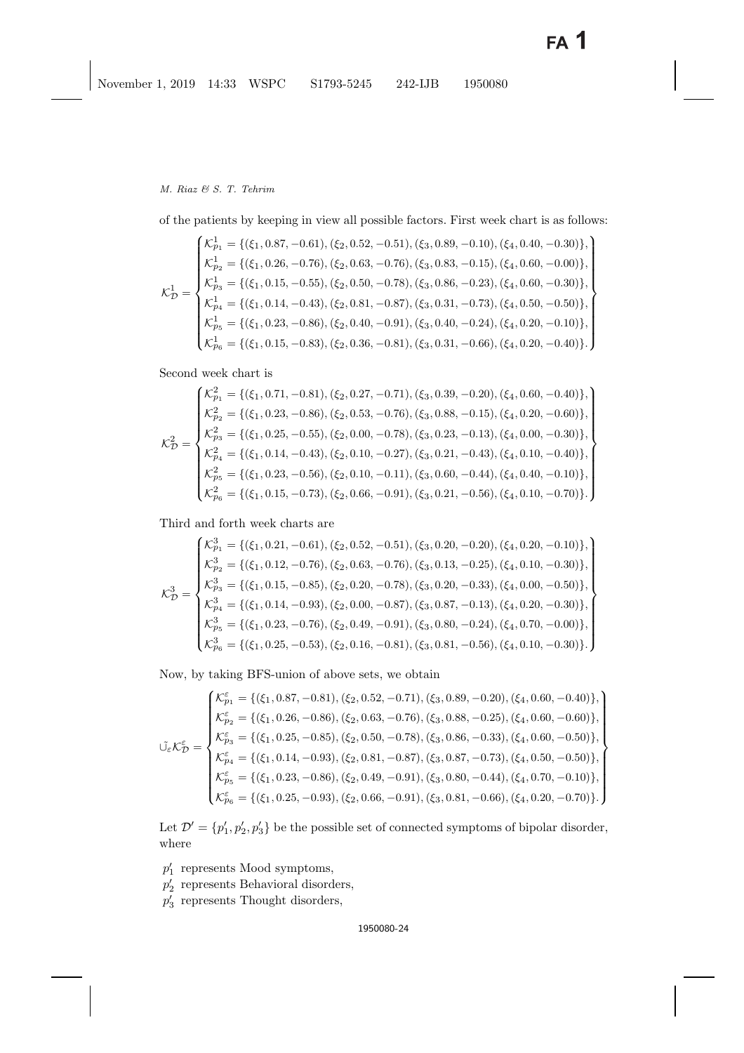of the patients by keeping in view all possible factors. First week chart is as follows:

$$
\mathcal{K}_{\mathcal{D}}^{1} = \begin{cases} \mathcal{K}_{p_{1}}^{1} = \{(\xi_{1}, 0.87, -0.61), (\xi_{2}, 0.52, -0.51), (\xi_{3}, 0.89, -0.10), (\xi_{4}, 0.40, -0.30)\}, \\ \mathcal{K}_{p_{2}}^{1} = \{(\xi_{1}, 0.26, -0.76), (\xi_{2}, 0.63, -0.76), (\xi_{3}, 0.83, -0.15), (\xi_{4}, 0.60, -0.00)\}, \\ \mathcal{K}_{p_{3}}^{1} = \{(\xi_{1}, 0.15, -0.55), (\xi_{2}, 0.50, -0.78), (\xi_{3}, 0.86, -0.23), (\xi_{4}, 0.60, -0.30)\}, \\ \mathcal{K}_{p_{4}}^{1} = \{(\xi_{1}, 0.14, -0.43), (\xi_{2}, 0.81, -0.87), (\xi_{3}, 0.31, -0.73), (\xi_{4}, 0.50, -0.50)\}, \\ \mathcal{K}_{p_{5}}^{1} = \{(\xi_{1}, 0.23, -0.86), (\xi_{2}, 0.40, -0.91), (\xi_{3}, 0.40, -0.24), (\xi_{4}, 0.20, -0.10)\}, \\ \mathcal{K}_{p_{6}}^{1} = \{(\xi_{1}, 0.15, -0.83), (\xi_{2}, 0.36, -0.81), (\xi_{3}, 0.31, -0.66), (\xi_{4}, 0.20, -0.40)\}. \end{cases}
$$

Second week chart is

$$
\mathcal{K}_{\mathcal{D}}^2 = \begin{cases} \mathcal{K}_{p_1}^2 = \{(\xi_1, 0.71, -0.81), (\xi_2, 0.27, -0.71), (\xi_3, 0.39, -0.20), (\xi_4, 0.60, -0.40)\}, \\ \mathcal{K}_{p_2}^2 = \{(\xi_1, 0.23, -0.86), (\xi_2, 0.53, -0.76), (\xi_3, 0.88, -0.15), (\xi_4, 0.20, -0.60)\}, \\ \mathcal{K}_{p_3}^2 = \{(\xi_1, 0.25, -0.55), (\xi_2, 0.00, -0.78), (\xi_3, 0.23, -0.13), (\xi_4, 0.00, -0.30)\}, \\ \mathcal{K}_{p_4}^2 = \{(\xi_1, 0.14, -0.43), (\xi_2, 0.10, -0.27), (\xi_3, 0.21, -0.43), (\xi_4, 0.10, -0.40)\}, \\ \mathcal{K}_{p_5}^2 = \{(\xi_1, 0.23, -0.56), (\xi_2, 0.10, -0.11), (\xi_3, 0.60, -0.44), (\xi_4, 0.40, -0.10)\}, \\ \mathcal{K}_{p_6}^2 = \{(\xi_1, 0.15, -0.73), (\xi_2, 0.66, -0.91), (\xi_3, 0.21, -0.56), (\xi_4, 0.10, -0.70)\}. \end{cases}
$$

Third and forth week charts are

$$
\mathcal{K}_{\mathcal{D}}^{3} = \begin{cases} \mathcal{K}_{p1}^{3} = \{(\xi_{1}, 0.21, -0.61), (\xi_{2}, 0.52, -0.51), (\xi_{3}, 0.20, -0.20), (\xi_{4}, 0.20, -0.10)\}, \\ \mathcal{K}_{p2}^{3} = \{(\xi_{1}, 0.12, -0.76), (\xi_{2}, 0.63, -0.76), (\xi_{3}, 0.13, -0.25), (\xi_{4}, 0.10, -0.30)\}, \\ \mathcal{K}_{p3}^{3} = \{(\xi_{1}, 0.15, -0.85), (\xi_{2}, 0.20, -0.78), (\xi_{3}, 0.20, -0.33), (\xi_{4}, 0.00, -0.50)\}, \\ \mathcal{K}_{p4}^{3} = \{(\xi_{1}, 0.14, -0.93), (\xi_{2}, 0.00, -0.87), (\xi_{3}, 0.87, -0.13), (\xi_{4}, 0.20, -0.30)\}, \\ \mathcal{K}_{p5}^{3} = \{(\xi_{1}, 0.23, -0.76), (\xi_{2}, 0.49, -0.91), (\xi_{3}, 0.80, -0.24), (\xi_{4}, 0.70, -0.00)\}, \\ \mathcal{K}_{p6}^{3} = \{(\xi_{1}, 0.25, -0.53), (\xi_{2}, 0.16, -0.81), (\xi_{3}, 0.81, -0.56), (\xi_{4}, 0.10, -0.30)\}.\end{cases}
$$

Now, by taking BFS-union of above sets, we obtain

$$
\vec{U}_{\epsilon}\mathcal{K}_{\mathcal{D}}^{\epsilon}=\begin{cases} \mathcal{K}_{p_{1}}^{\epsilon}=\{(\xi_{1},0.87,-0.81),(\xi_{2},0.52,-0.71),(\xi_{3},0.89,-0.20),(\xi_{4},0.60,-0.40)\}, \\ \mathcal{K}_{p_{2}}^{\epsilon}=\{(\xi_{1},0.26,-0.86),(\xi_{2},0.63,-0.76),(\xi_{3},0.88,-0.25),(\xi_{4},0.60,-0.60)\}, \\ \mathcal{K}_{p_{3}}^{\epsilon}=\{(\xi_{1},0.25,-0.85),(\xi_{2},0.50,-0.78),(\xi_{3},0.86,-0.33),(\xi_{4},0.60,-0.50)\}, \\ \mathcal{K}_{p_{4}}^{\epsilon}=\{(\xi_{1},0.14,-0.93),(\xi_{2},0.81,-0.87),(\xi_{3},0.87,-0.73),(\xi_{4},0.50,-0.50)\}, \\ \mathcal{K}_{p_{5}}^{\epsilon}=\{(\xi_{1},0.23,-0.86),(\xi_{2},0.49,-0.91),(\xi_{3},0.80,-0.44),(\xi_{4},0.70,-0.10)\}, \\ \mathcal{K}_{p_{6}}^{\epsilon}=\{(\xi_{1},0.25,-0.93),(\xi_{2},0.66,-0.91),(\xi_{3},0.81,-0.66),(\xi_{4},0.20,-0.70)\}.\end{cases}
$$

Let  $\mathcal{D}' = \{p'_1, p'_2, p'_3\}$  be the possible set of connected symptoms of bipolar disorder, where

- $p'_1$  represents Mood symptoms,
- $p'_2$  represents Behavioral disorders,
- p <sup>3</sup> represents Thought disorders,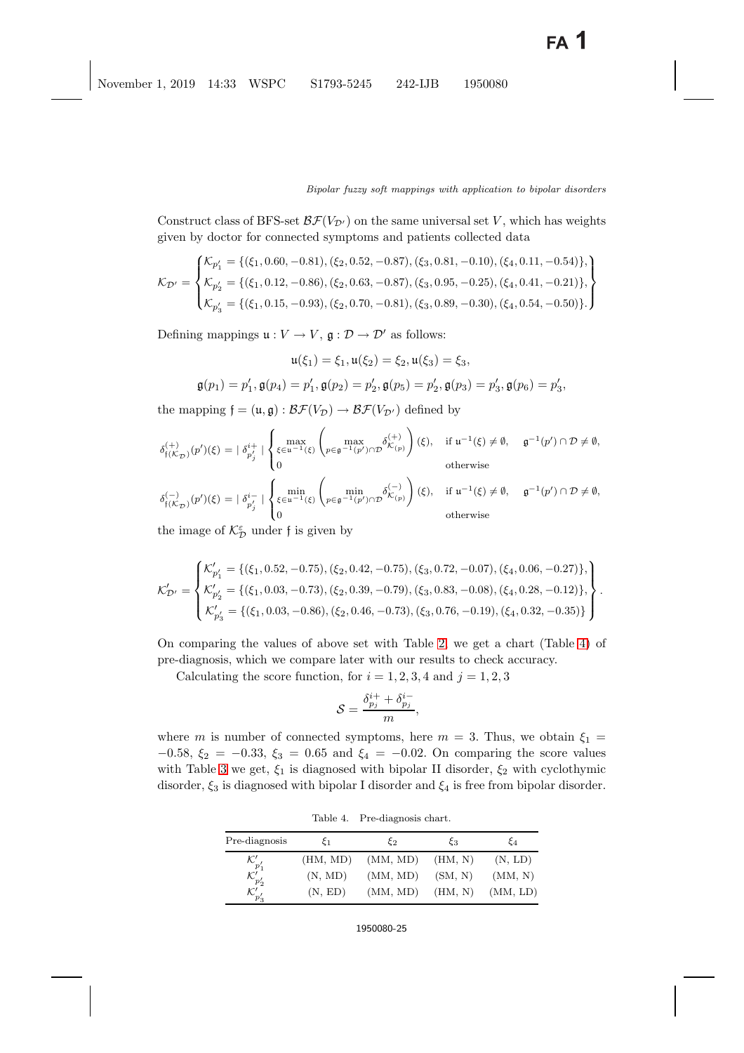Construct class of BFS-set  $\mathcal{BF}(V_{\mathcal{D}'})$  on the same universal set V, which has weights given by doctor for connected symptoms and patients collected data

$$
\mathcal{K}_{\mathcal{D}'} = \begin{cases} \mathcal{K}_{p'_1} = \{(\xi_1, 0.60, -0.81), (\xi_2, 0.52, -0.87), (\xi_3, 0.81, -0.10), (\xi_4, 0.11, -0.54)\}, \\ \mathcal{K}_{p'_2} = \{(\xi_1, 0.12, -0.86), (\xi_2, 0.63, -0.87), (\xi_3, 0.95, -0.25), (\xi_4, 0.41, -0.21)\}, \\ \mathcal{K}_{p'_3} = \{(\xi_1, 0.15, -0.93), (\xi_2, 0.70, -0.81), (\xi_3, 0.89, -0.30), (\xi_4, 0.54, -0.50)\}. \end{cases}
$$

Defining mappings  $\mathfrak{u}: V \to V$ ,  $\mathfrak{g}: \mathcal{D} \to \mathcal{D}'$  as follows:

$$
\mathfrak{u}(\xi_1) = \xi_1, \mathfrak{u}(\xi_2) = \xi_2, \mathfrak{u}(\xi_3) = \xi_3,
$$

$$
\mathfrak{g}(p_1) = p'_1, \mathfrak{g}(p_4) = p'_1, \mathfrak{g}(p_2) = p'_2, \mathfrak{g}(p_5) = p'_2, \mathfrak{g}(p_3) = p'_3, \mathfrak{g}(p_6) = p'_3,
$$

the mapping  $f = (\mathfrak{u}, \mathfrak{g}) : \mathcal{BF}(V_{\mathcal{D}}) \to \mathcal{BF}(V_{\mathcal{D}'})$  defined by

$$
\delta_{\mathfrak{f}(\mathcal{K}_{\mathcal{D}})}^{(+)}(p')(\xi)=|\delta_{p_{j}^{'}}^{i+}|\begin{cases} \max\limits_{\xi\in\mathfrak{u}^{-1}(\xi)}\left(\max\limits_{p\in\mathfrak{g}^{-1}(p')\cap\mathcal{D}}\delta_{\mathcal{K}_{(p)}}^{(+)}\right)(\xi),& \text{ if } \mathfrak{u}^{-1}(\xi)\neq\emptyset,\\ 0 & \text{ otherwise} \end{cases}\\ \delta_{\mathfrak{f}(\mathcal{K}_{\mathcal{D}})}^{(-)}(p')(\xi)=|\delta_{p_{j}^{'}}^{i-}|\begin{cases} \min\limits_{\xi\in\mathfrak{u}^{-1}(\xi)}\left(\min\limits_{p\in\mathfrak{g}^{-1}(p')\cap\mathcal{D}}\delta_{\mathcal{K}_{(p)}}^{(-)}\right)(\xi),& \text{ if } \mathfrak{u}^{-1}(\xi)\neq\emptyset,\\ 0 & \text{ otherwise} \end{cases}\quad\text{otherwise}
$$

the image of  $\mathcal{K}_{\mathcal{D}}^{\varepsilon}$  under f is given by

$$
\mathcal{K}'_{\mathcal{D}'} = \begin{cases} \mathcal{K}'_{p'_1} = \{(\xi_1, 0.52, -0.75), (\xi_2, 0.42, -0.75), (\xi_3, 0.72, -0.07), (\xi_4, 0.06, -0.27)\}, \\ \mathcal{K}'_{p'_2} = \{(\xi_1, 0.03, -0.73), (\xi_2, 0.39, -0.79), (\xi_3, 0.83, -0.08), (\xi_4, 0.28, -0.12)\}, \\ \mathcal{K}'_{p'_3} = \{(\xi_1, 0.03, -0.86), (\xi_2, 0.46, -0.73), (\xi_3, 0.76, -0.19), (\xi_4, 0.32, -0.35)\} \end{cases}.
$$

On comparing the values of above set with Table [2,](#page-21-1) we get a chart (Table [4\)](#page-24-0) of pre-diagnosis, which we compare later with our results to check accuracy.

Calculating the score function, for  $i = 1, 2, 3, 4$  and  $j = 1, 2, 3$ 

$$
\mathcal{S} = \frac{\delta_{p_j}^{i+} + \delta_{p_j}^{i-}}{m},
$$

where m is number of connected symptoms, here  $m = 3$ . Thus, we obtain  $\xi_1 =$  $-0.58, \xi_2 = -0.33, \xi_3 = 0.65 \text{ and } \xi_4 = -0.02.$  On comparing the score values with Table [3](#page-22-1) we get,  $\xi_1$  is diagnosed with bipolar II disorder,  $\xi_2$  with cyclothymic disorder,  $\xi_3$  is diagnosed with bipolar I disorder and  $\xi_4$  is free from bipolar disorder.

<span id="page-24-0"></span>Table 4. Pre-diagnosis chart.

| Pre-diagnosis               | ٤1       | ≿շ       | 53      | ξ4       |
|-----------------------------|----------|----------|---------|----------|
| $\mathcal{K}'_{p'_1}$       | (HM, MD) | (MM, MD) | (HM, N) | (N, LD)  |
| $\mathcal{K}_{p'_2}^\prime$ | (N, MD)  | (MM, MD) | (SM, N) | (MM, N)  |
| $\mathcal{K}_{p'_{3}}'$     | (N, ED)  | (MM, MD) | (HM, N) | (MM, LD) |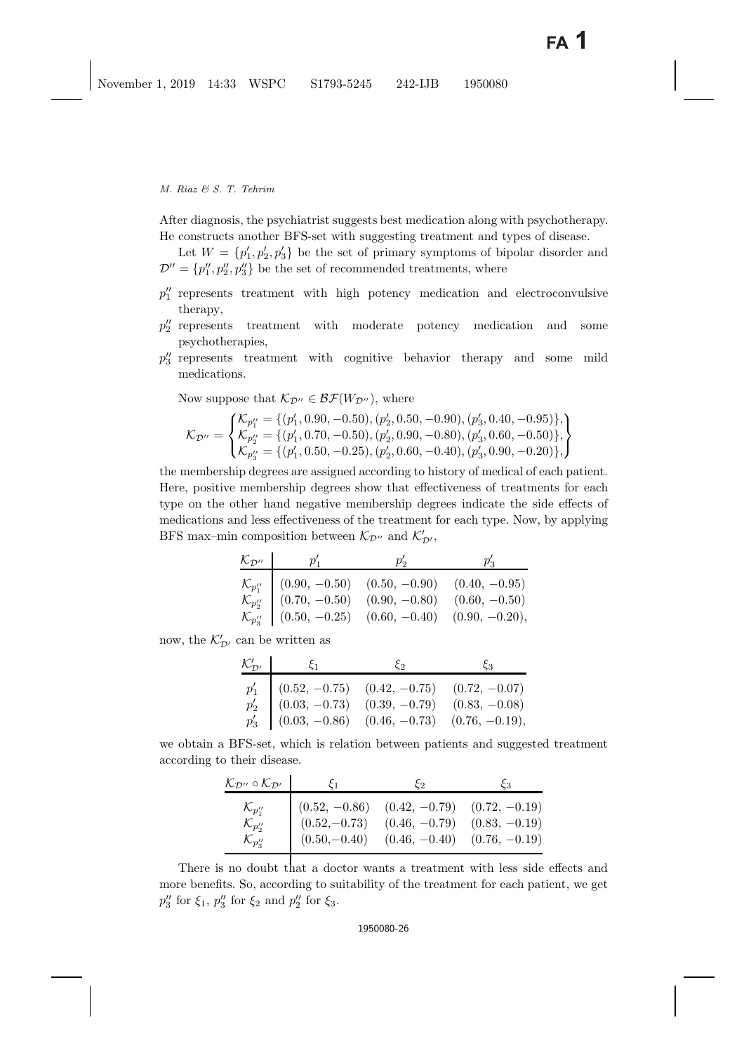After diagnosis, the psychiatrist suggests best medication along with psychotherapy. He constructs another BFS-set with suggesting treatment and types of disease.

Let  $W = \{p'_1, p'_2, p'_3\}$  be the set of primary symptoms of bipolar disorder and  $\mathcal{D}'' = \{p''_1, p''_2, p''_3\}$  be the set of recommended treatments, where

- $p_1''$  represents treatment with high potency medication and electroconvulsive therapy,
- $p_2^{\prime\prime}$  represents treatment with moderate potency medication and some psychotherapies,
- p <sup>3</sup> represents treatment with cognitive behavior therapy and some mild medications.

Now suppose that  $\mathcal{K}_{\mathcal{D}''}\in \mathcal{BF}(W_{\mathcal{D}''})$ , where

$$
\mathcal{K}_{\mathcal{D}''} = \begin{cases} \mathcal{K}_{p''_1} = \{ (p'_1, 0.90, -0.50), (p'_2, 0.50, -0.90), (p'_3, 0.40, -0.95) \}, \\ \mathcal{K}_{p''_2} = \{ (p'_1, 0.70, -0.50), (p'_2, 0.90, -0.80), (p'_3, 0.60, -0.50) \}, \\ \mathcal{K}_{p''_3} = \{ (p'_1, 0.50, -0.25), (p'_2, 0.60, -0.40), (p'_3, 0.90, -0.20) \}, \end{cases}
$$

the membership degrees are assigned according to history of medical of each patient. Here, positive membership degrees show that effectiveness of treatments for each type on the other hand negative membership degrees indicate the side effects of medications and less effectiveness of the treatment for each type. Now, by applying BFS max-min composition between  $\mathcal{K}_{\mathcal{D}'}$ , and  $\mathcal{K}'_{\mathcal{D}'},$ 

| $\mathcal{K}_{\mathcal{D}''}$ | $p'_1$                                                                                                                                                                             |  |
|-------------------------------|------------------------------------------------------------------------------------------------------------------------------------------------------------------------------------|--|
| $\mathcal{K}_{p''_2}$         | $\mathcal{K}_{p''}$ (0.90, -0.50) (0.50, -0.90) (0.40, -0.95)<br>$(0.70, -0.50)$ $(0.90, -0.80)$ $(0.60, -0.50)$<br>$\mathcal{K}_{p''}$ (0.50, -0.25) (0.60, -0.40) (0.90, -0.20), |  |

now, the  $\mathcal{K}_{\mathcal{D}'}'$  can be written as

| $\mathcal{K}_{\mathcal{D}'}'$<br>$\mathcal{E}_1$                                                                                                                                                                                          | $\mathcal{E}_2$ | とっ |
|-------------------------------------------------------------------------------------------------------------------------------------------------------------------------------------------------------------------------------------------|-----------------|----|
| $\left. \begin{array}{c ccc} p'_1 & (0.52,\, -0.75) & (0.42,\, -0.75) & (0.72,\, -0.07) \\ p'_2 & (0.03,\, -0.73) & (0.39,\, -0.79) & (0.83,\, -0.08) \\ p'_3 & (0.03,\, -0.86) & (0.46,\, -0.73) & (0.76,\, -0.19), \end{array} \right.$ |                 |    |
|                                                                                                                                                                                                                                           |                 |    |

we obtain a BFS-set, which is relation between patients and suggested treatment according to their disease.

| $\mathcal{K}_{\mathcal{D}''} \circ \mathcal{K}_{\mathcal{D}'}$ | $\zeta_1$       | とっ              | ČЗ              |
|----------------------------------------------------------------|-----------------|-----------------|-----------------|
| $\mathcal{K}_{p''_1}$                                          | $(0.52, -0.86)$ | $(0.42, -0.79)$ | $(0.72, -0.19)$ |
| $\mathcal{K}_{p''_2}$                                          | $(0.52,-0.73)$  | $(0.46, -0.79)$ | $(0.83, -0.19)$ |
| $\mathcal{K}_{p''_3}$                                          | $(0.50,-0.40)$  | $(0.46, -0.40)$ | $(0.76, -0.19)$ |

There is no doubt that a doctor wants a treatment with less side effects and more benefits. So, according to suitability of the treatment for each patient, we get  $p_3''$  for  $\xi_1$ ,  $p_3''$  for  $\xi_2$  and  $p_2''$  for  $\xi_3$ .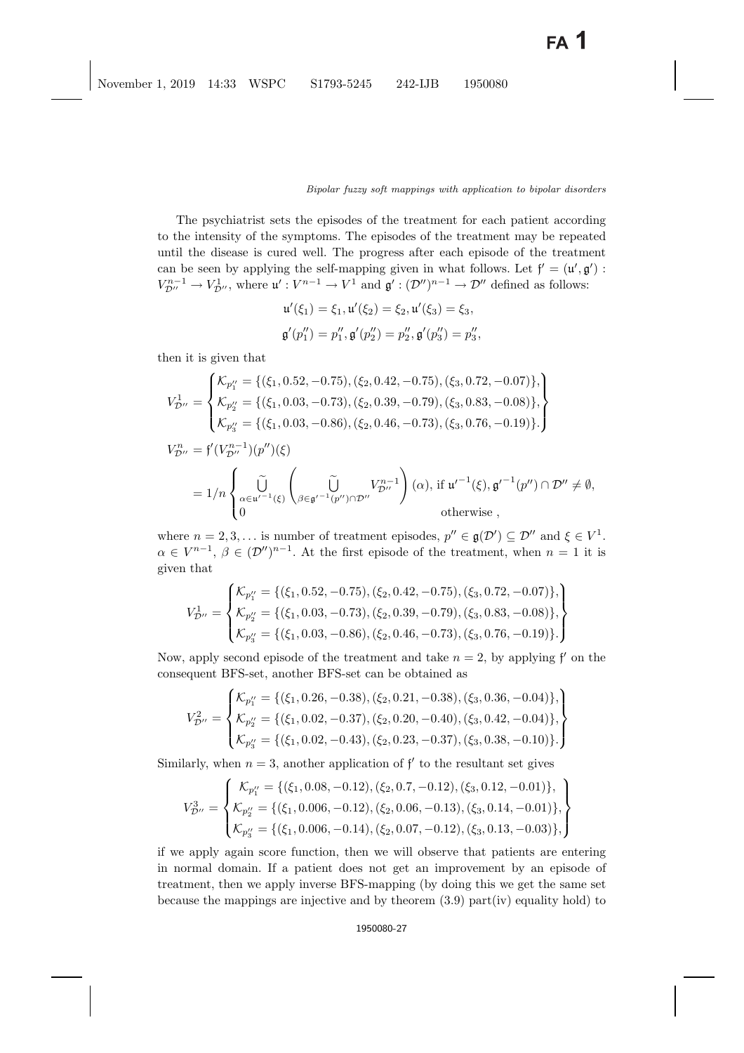The psychiatrist sets the episodes of the treatment for each patient according to the intensity of the symptoms. The episodes of the treatment may be repeated until the disease is cured well. The progress after each episode of the treatment can be seen by applying the self-mapping given in what follows. Let  $f' = (u', g') :$ <br> $V^{n-1} \longrightarrow V^1$ , where  $u' : V^{n-1} \longrightarrow V^1$  and  $g' : (\mathcal{D}'')^{n-1} \longrightarrow \mathcal{D}''$  defined as follows:  $V_{\mathcal{D}''}^{n-1} \to V_{\mathcal{D}''}^1$ , where  $\mathfrak{u}' : V^{n-1} \to V^1$  and  $\mathfrak{g}' : (\mathcal{D}'')^{n-1} \to \mathcal{D}''$  defined as follows:

$$
u'(\xi_1) = \xi_1, u'(\xi_2) = \xi_2, u'(\xi_3) = \xi_3,
$$
  

$$
\mathfrak{g}'(p_1'') = p_1'', \mathfrak{g}'(p_2'') = p_2'', \mathfrak{g}'(p_3'') = p_3'',
$$

then it is given that

$$
V_{\mathcal{D}''}^{1} = \begin{cases} \mathcal{K}_{p''_1} = \{(\xi_1, 0.52, -0.75), (\xi_2, 0.42, -0.75), (\xi_3, 0.72, -0.07)\}, \\ \mathcal{K}_{p''_2} = \{(\xi_1, 0.03, -0.73), (\xi_2, 0.39, -0.79), (\xi_3, 0.83, -0.08)\}, \\ \mathcal{K}_{p''_3} = \{(\xi_1, 0.03, -0.86), (\xi_2, 0.46, -0.73), (\xi_3, 0.76, -0.19)\} \end{cases}
$$
  
\n
$$
V_{\mathcal{D}''}^{n} = \mathfrak{f}'(V_{\mathcal{D}''}^{n-1})(p'')(\xi)
$$
  
\n
$$
= 1/n \begin{cases} \tilde{U} & V_{\mathcal{D}''}^{n-1} \\ \alpha \in \mathfrak{u}'^{-1}(\xi) \begin{pmatrix} \tilde{U} & V_{\mathcal{D}''}^{n-1} \\ \beta \in \mathfrak{g}'^{-1}(p'') \cap \mathcal{D}'' & \text{otherwise} \end{pmatrix} \end{cases}
$$

where  $n = 2, 3, ...$  is number of treatment episodes,  $p'' \in \mathfrak{g}(\mathcal{D}') \subseteq \mathcal{D}''$  and  $\xi \in V^1$ .<br> $\alpha \in V^{n-1}$ ,  $\beta \in (\mathcal{D}'')^{n-1}$ , At the first opisode of the treatment, when  $n = 1$  it is  $\alpha \in V^{n-1}, \beta \in (\mathcal{D}'')^{n-1}$ . At the first episode of the treatment, when  $n = 1$  it is given that

$$
V_{\mathcal{D}''}^{1} = \begin{cases} \mathcal{K}_{p''_1} = \{(\xi_1, 0.52, -0.75), (\xi_2, 0.42, -0.75), (\xi_3, 0.72, -0.07)\}, \\ \mathcal{K}_{p''_2} = \{(\xi_1, 0.03, -0.73), (\xi_2, 0.39, -0.79), (\xi_3, 0.83, -0.08)\}, \\ \mathcal{K}_{p''_3} = \{(\xi_1, 0.03, -0.86), (\xi_2, 0.46, -0.73), (\xi_3, 0.76, -0.19)\}.\end{cases}
$$

Now, apply second episode of the treatment and take  $n = 2$ , by applying  $f'$  on the consequent RFS set another RFS set can be obtained as consequent BFS-set, another BFS-set can be obtained as

$$
V_{\mathcal{D}''}^2 = \begin{cases} \mathcal{K}_{p_1''} = \{(\xi_1, 0.26, -0.38), (\xi_2, 0.21, -0.38), (\xi_3, 0.36, -0.04)\}, \\ \mathcal{K}_{p_2''} = \{(\xi_1, 0.02, -0.37), (\xi_2, 0.20, -0.40), (\xi_3, 0.42, -0.04)\}, \\ \mathcal{K}_{p_3''} = \{(\xi_1, 0.02, -0.43), (\xi_2, 0.23, -0.37), (\xi_3, 0.38, -0.10)\}.\end{cases}
$$

Similarly, when  $n = 3$ , another application of  $f'$  to the resultant set gives

$$
V_{\mathcal{D}''}^3 = \begin{cases} \mathcal{K}_{p_1''} = \{(\xi_1, 0.08, -0.12), (\xi_2, 0.7, -0.12), (\xi_3, 0.12, -0.01)\}, \\ \mathcal{K}_{p_2''} = \{(\xi_1, 0.006, -0.12), (\xi_2, 0.06, -0.13), (\xi_3, 0.14, -0.01)\}, \\ \mathcal{K}_{p_3''} = \{(\xi_1, 0.006, -0.14), (\xi_2, 0.07, -0.12), (\xi_3, 0.13, -0.03)\}, \end{cases}
$$

if we apply again score function, then we will observe that patients are entering in normal domain. If a patient does not get an improvement by an episode of treatment, then we apply inverse BFS-mapping (by doing this we get the same set because the mappings are injective and by theorem (3.9) part(iv) equality hold) to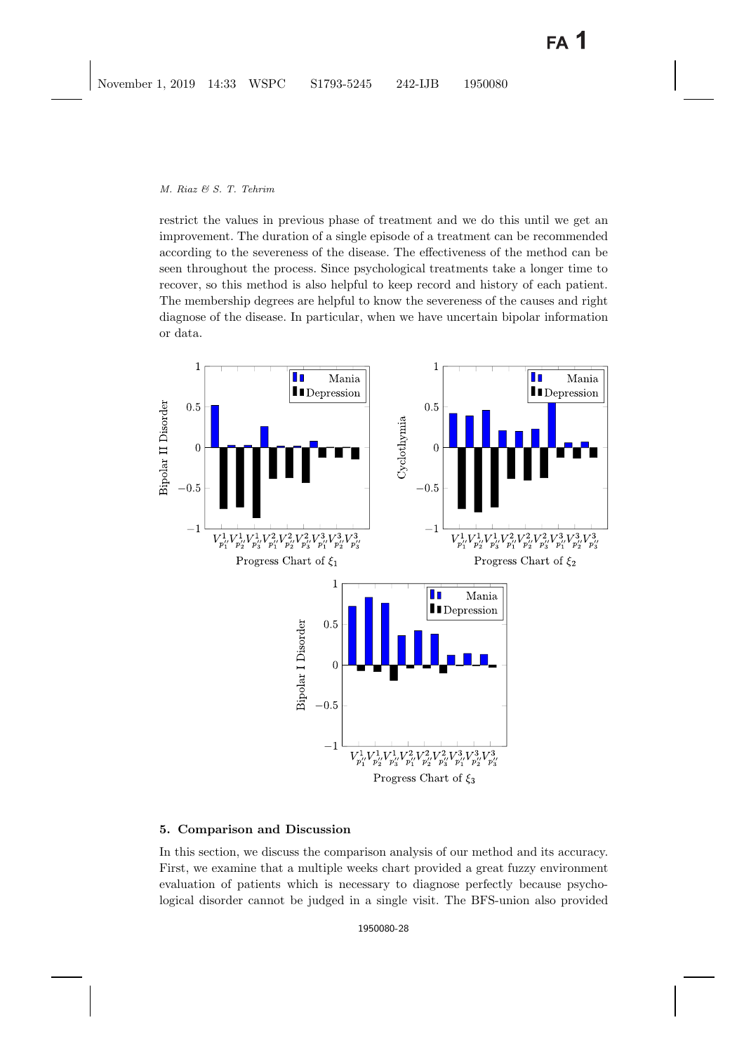restrict the values in previous phase of treatment and we do this until we get an improvement. The duration of a single episode of a treatment can be recommended according to the severeness of the disease. The effectiveness of the method can be seen throughout the process. Since psychological treatments take a longer time to recover, so this method is also helpful to keep record and history of each patient. The membership degrees are helpful to know the severeness of the causes and right diagnose of the disease. In particular, when we have uncertain bipolar information or data.



# <span id="page-27-0"></span>**5. Comparison and Discussion**

In this section, we discuss the comparison analysis of our method and its accuracy. First, we examine that a multiple weeks chart provided a great fuzzy environment evaluation of patients which is necessary to diagnose perfectly because psychological disorder cannot be judged in a single visit. The BFS-union also provided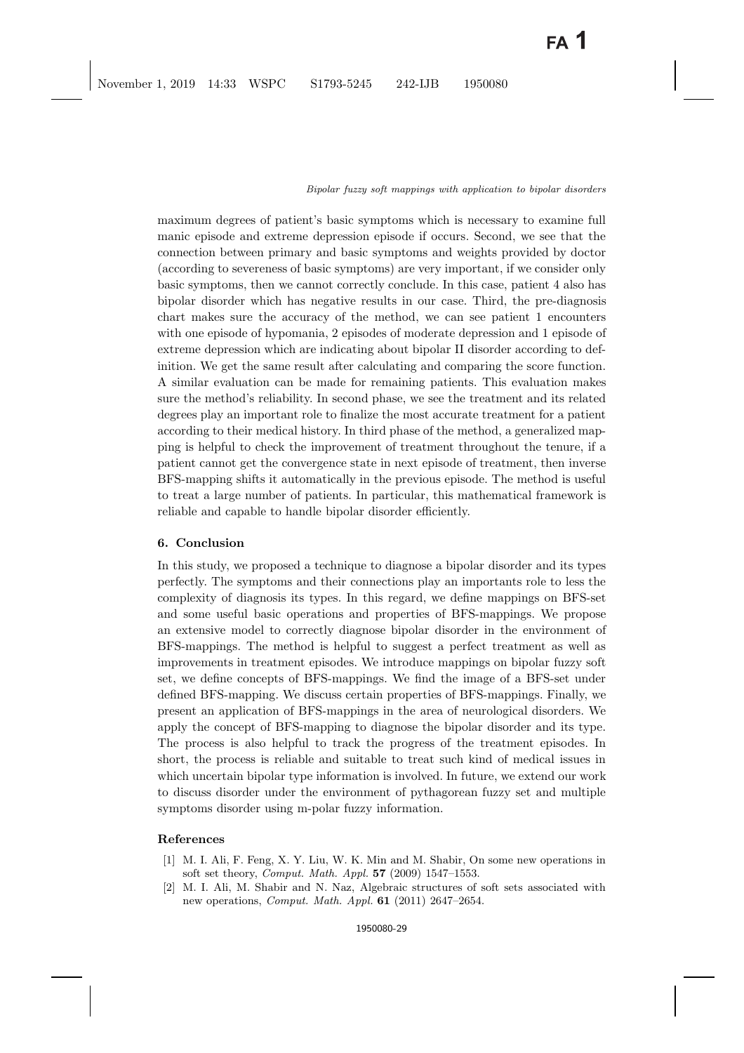maximum degrees of patient's basic symptoms which is necessary to examine full manic episode and extreme depression episode if occurs. Second, we see that the connection between primary and basic symptoms and weights provided by doctor (according to severeness of basic symptoms) are very important, if we consider only basic symptoms, then we cannot correctly conclude. In this case, patient 4 also has bipolar disorder which has negative results in our case. Third, the pre-diagnosis chart makes sure the accuracy of the method, we can see patient 1 encounters with one episode of hypomania, 2 episodes of moderate depression and 1 episode of extreme depression which are indicating about bipolar II disorder according to definition. We get the same result after calculating and comparing the score function. A similar evaluation can be made for remaining patients. This evaluation makes sure the method's reliability. In second phase, we see the treatment and its related degrees play an important role to finalize the most accurate treatment for a patient according to their medical history. In third phase of the method, a generalized mapping is helpful to check the improvement of treatment throughout the tenure, if a patient cannot get the convergence state in next episode of treatment, then inverse BFS-mapping shifts it automatically in the previous episode. The method is useful to treat a large number of patients. In particular, this mathematical framework is reliable and capable to handle bipolar disorder efficiently.

## <span id="page-28-3"></span>**6. Conclusion**

In this study, we proposed a technique to diagnose a bipolar disorder and its types perfectly. The symptoms and their connections play an importants role to less the complexity of diagnosis its types. In this regard, we define mappings on BFS-set and some useful basic operations and properties of BFS-mappings. We propose an extensive model to correctly diagnose bipolar disorder in the environment of BFS-mappings. The method is helpful to suggest a perfect treatment as well as improvements in treatment episodes. We introduce mappings on bipolar fuzzy soft set, we define concepts of BFS-mappings. We find the image of a BFS-set under defined BFS-mapping. We discuss certain properties of BFS-mappings. Finally, we present an application of BFS-mappings in the area of neurological disorders. We apply the concept of BFS-mapping to diagnose the bipolar disorder and its type. The process is also helpful to track the progress of the treatment episodes. In short, the process is reliable and suitable to treat such kind of medical issues in which uncertain bipolar type information is involved. In future, we extend our work to discuss disorder under the environment of pythagorean fuzzy set and multiple symptoms disorder using m-polar fuzzy information.

# <span id="page-28-1"></span><span id="page-28-0"></span>**References**

- [1] M. I. Ali, F. Feng, X. Y. Liu, W. K. Min and M. Shabir, On some new operations in soft set theory, Comput. Math. Appl. **57** (2009) 1547–1553.
- <span id="page-28-2"></span>[2] M. I. Ali, M. Shabir and N. Naz, Algebraic structures of soft sets associated with new operations, Comput. Math. Appl. **61** (2011) 2647–2654.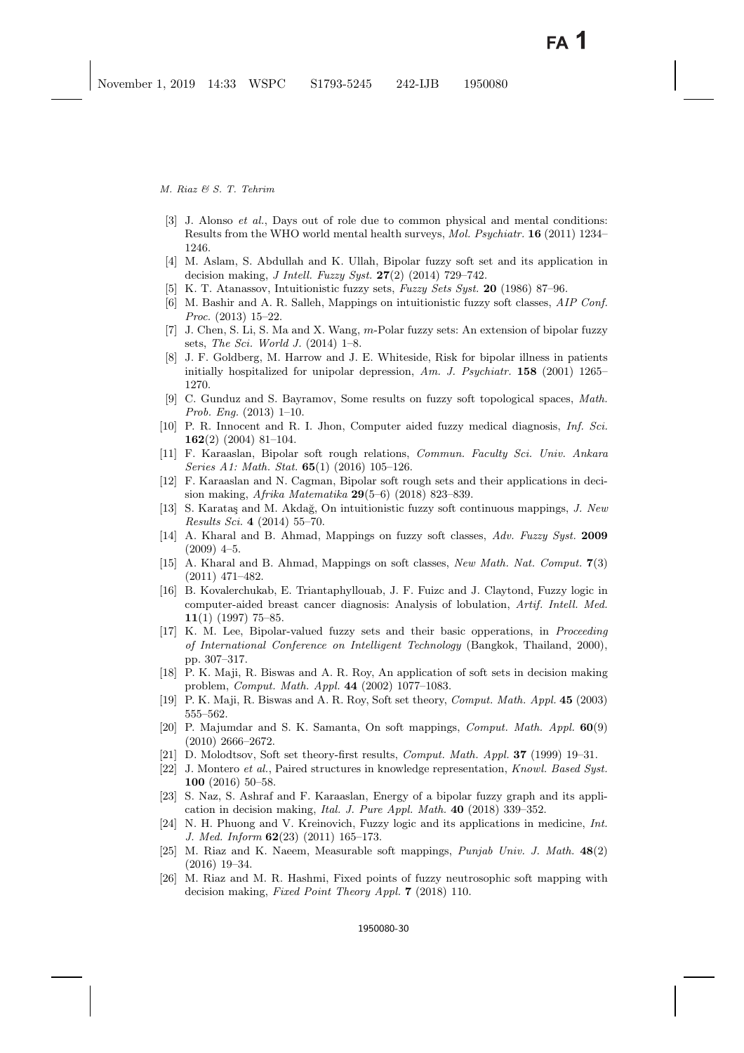- <span id="page-29-20"></span>[3] J. Alonso *et al.*, Days out of role due to common physical and mental conditions: Results from the WHO world mental health surveys, Mol. Psychiatr. **16** (2011) 1234– 1246.
- <span id="page-29-10"></span><span id="page-29-3"></span>[4] M. Aslam, S. Abdullah and K. Ullah, Bipolar fuzzy soft set and its application in decision making, J Intell. Fuzzy Syst. **27**(2) (2014) 729–742.
- <span id="page-29-18"></span>[5] K. T. Atanassov, Intuitionistic fuzzy sets, Fuzzy Sets Syst. **20** (1986) 87–96.
- [6] M. Bashir and A. R. Salleh, Mappings on intuitionistic fuzzy soft classes, AIP Conf. Proc. (2013) 15–22.
- <span id="page-29-4"></span>[7] J. Chen, S. Li, S. Ma and X. Wang, m-Polar fuzzy sets: An extension of bipolar fuzzy sets, The Sci. World J.  $(2014)$  1–8.
- <span id="page-29-21"></span>[8] J. F. Goldberg, M. Harrow and J. E. Whiteside, Risk for bipolar illness in patients initially hospitalized for unipolar depression, Am. J. Psychiatr. **158** (2001) 1265– 1270.
- <span id="page-29-17"></span>[9] C. Gunduz and S. Bayramov, Some results on fuzzy soft topological spaces, Math. Prob. Eng. (2013) 1–10.
- <span id="page-29-0"></span>[10] P. R. Innocent and R. I. Jhon, Computer aided fuzzy medical diagnosis, Inf. Sci. **162**(2) (2004) 81–104.
- <span id="page-29-11"></span>[11] F. Karaaslan, Bipolar soft rough relations, Commun. Faculty Sci. Univ. Ankara Series A1: Math. Stat. **65**(1) (2016) 105–126.
- <span id="page-29-12"></span>[12] F. Karaaslan and N. Cagman, Bipolar soft rough sets and their applications in decision making, Afrika Matematika **29**(5–6) (2018) 823–839.
- <span id="page-29-19"></span>[13] S. Karataş and M. Akdağ, On intuitionistic fuzzy soft continuous mappings, J. New Results Sci. **4** (2014) 55–70.
- <span id="page-29-16"></span>[14] A. Kharal and B. Ahmad, Mappings on fuzzy soft classes, Adv. Fuzzy Syst. **2009**  $(2009)$  4–5.
- <span id="page-29-15"></span>[15] A. Kharal and B. Ahmad, Mappings on soft classes, New Math. Nat. Comput. **7**(3) (2011) 471–482.
- <span id="page-29-1"></span>[16] B. Kovalerchukab, E. Triantaphyllouab, J. F. Fuizc and J. Claytond, Fuzzy logic in computer-aided breast cancer diagnosis: Analysis of lobulation, Artif. Intell. Med. **11**(1) (1997) 75–85.
- <span id="page-29-9"></span>[17] K. M. Lee, Bipolar-valued fuzzy sets and their basic opperations, in Proceeding of International Conference on Intelligent Technology (Bangkok, Thailand, 2000), pp. 307–317.
- <span id="page-29-7"></span>[18] P. K. Maji, R. Biswas and A. R. Roy, An application of soft sets in decision making problem, Comput. Math. Appl. **44** (2002) 1077–1083.
- <span id="page-29-14"></span><span id="page-29-8"></span>[19] P. K. Maji, R. Biswas and A. R. Roy, Soft set theory, Comput. Math. Appl. **45** (2003) 555–562.
- [20] P. Majumdar and S. K. Samanta, On soft mappings, Comput. Math. Appl. **60**(9) (2010) 2666–2672.
- <span id="page-29-22"></span><span id="page-29-6"></span>[21] D. Molodtsov, Soft set theory-first results, Comput. Math. Appl. **37** (1999) 19–31.
- [22] J. Montero et al., Paired structures in knowledge representation, Knowl. Based Syst. **100** (2016) 50–58.
- <span id="page-29-13"></span>[23] S. Naz, S. Ashraf and F. Karaaslan, Energy of a bipolar fuzzy graph and its application in decision making, Ital. J. Pure Appl. Math. **40** (2018) 339–352.
- <span id="page-29-2"></span>[24] N. H. Phuong and V. Kreinovich, Fuzzy logic and its applications in medicine, Int. J. Med. Inform **62**(23) (2011) 165–173.
- <span id="page-29-5"></span>[25] M. Riaz and K. Naeem, Measurable soft mappings, Punjab Univ. J. Math. **48**(2) (2016) 19–34.
- [26] M. Riaz and M. R. Hashmi, Fixed points of fuzzy neutrosophic soft mapping with decision making, Fixed Point Theory Appl. **7** (2018) 110.